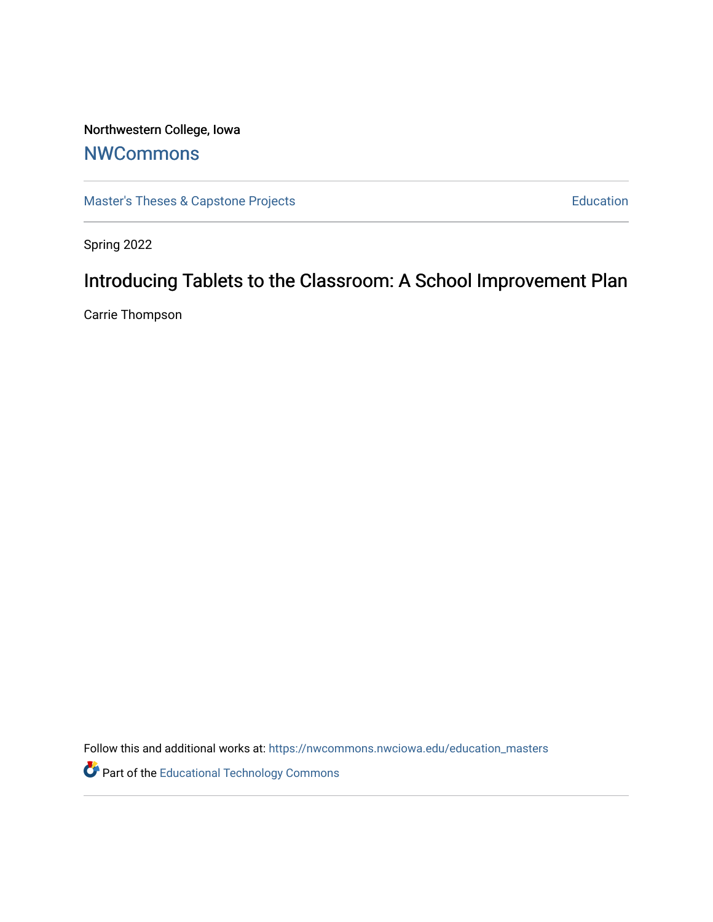# Northwestern College, Iowa

## **[NWCommons](https://nwcommons.nwciowa.edu/)**

[Master's Theses & Capstone Projects](https://nwcommons.nwciowa.edu/education_masters) **Education** Education

Spring 2022

# Introducing Tablets to the Classroom: A School Improvement Plan

Carrie Thompson

Follow this and additional works at: [https://nwcommons.nwciowa.edu/education\\_masters](https://nwcommons.nwciowa.edu/education_masters?utm_source=nwcommons.nwciowa.edu%2Feducation_masters%2F408&utm_medium=PDF&utm_campaign=PDFCoverPages)

**Part of the Educational Technology Commons**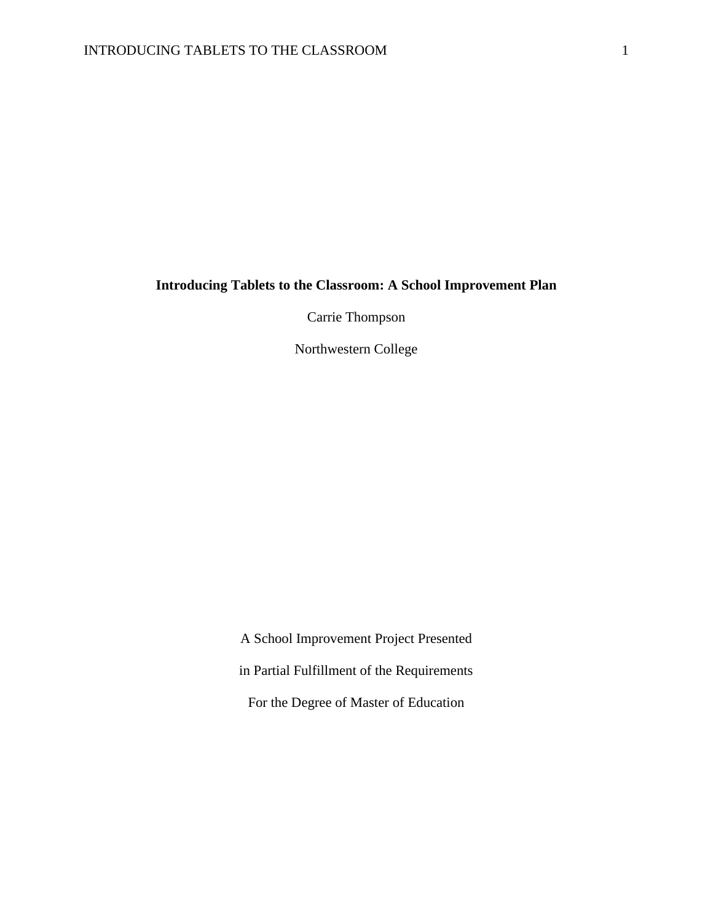## **Introducing Tablets to the Classroom: A School Improvement Plan**

Carrie Thompson

Northwestern College

A School Improvement Project Presented in Partial Fulfillment of the Requirements For the Degree of Master of Education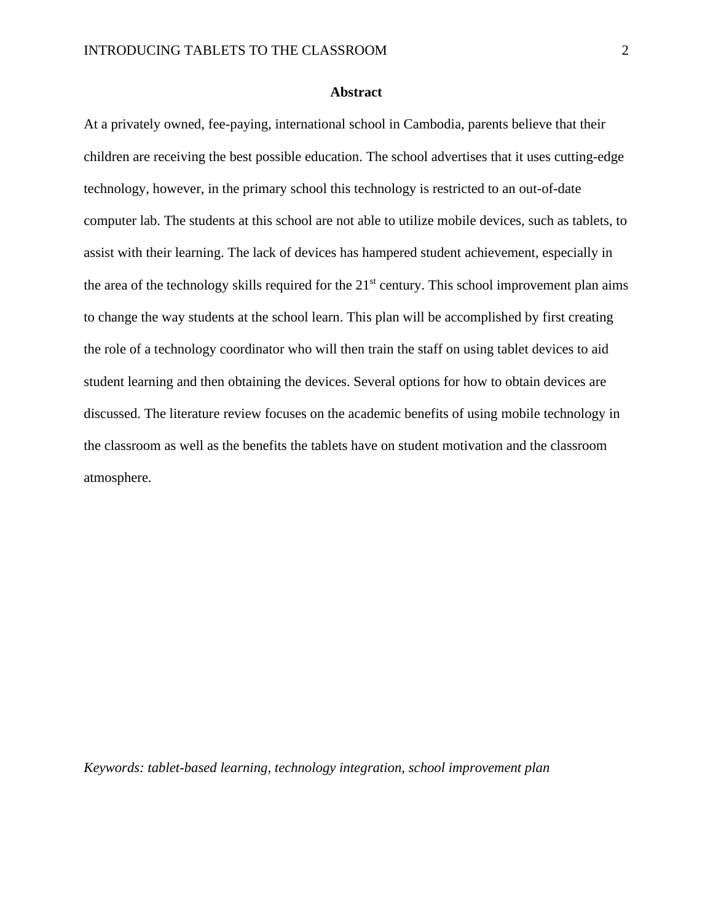#### **Abstract**

<span id="page-2-0"></span>At a privately owned, fee-paying, international school in Cambodia, parents believe that their children are receiving the best possible education. The school advertises that it uses cutting-edge technology, however, in the primary school this technology is restricted to an out-of-date computer lab. The students at this school are not able to utilize mobile devices, such as tablets, to assist with their learning. The lack of devices has hampered student achievement, especially in the area of the technology skills required for the  $21<sup>st</sup>$  century. This school improvement plan aims to change the way students at the school learn. This plan will be accomplished by first creating the role of a technology coordinator who will then train the staff on using tablet devices to aid student learning and then obtaining the devices. Several options for how to obtain devices are discussed. The literature review focuses on the academic benefits of using mobile technology in the classroom as well as the benefits the tablets have on student motivation and the classroom atmosphere.

*Keywords: tablet-based learning, technology integration, school improvement plan*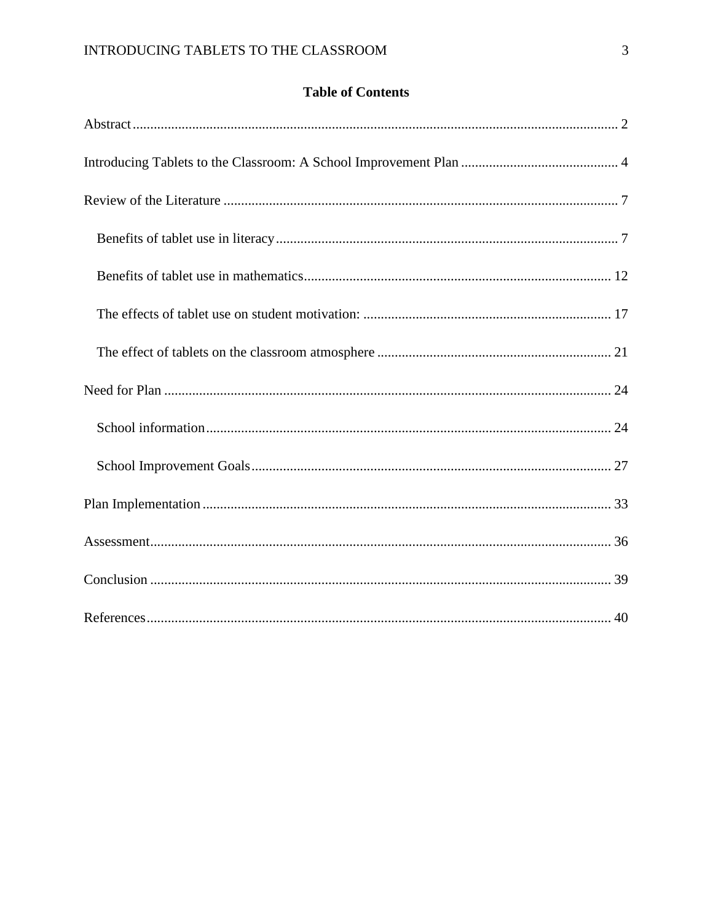## **Table of Contents**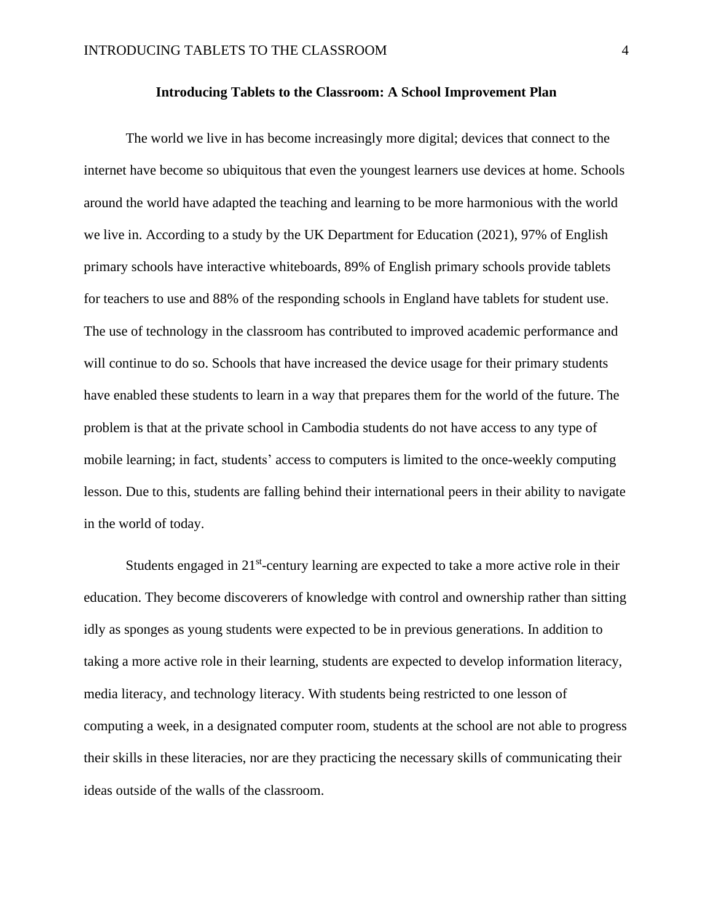#### **Introducing Tablets to the Classroom: A School Improvement Plan**

<span id="page-4-0"></span>The world we live in has become increasingly more digital; devices that connect to the internet have become so ubiquitous that even the youngest learners use devices at home. Schools around the world have adapted the teaching and learning to be more harmonious with the world we live in. According to a study by the UK Department for Education (2021), 97% of English primary schools have interactive whiteboards, 89% of English primary schools provide tablets for teachers to use and 88% of the responding schools in England have tablets for student use. The use of technology in the classroom has contributed to improved academic performance and will continue to do so. Schools that have increased the device usage for their primary students have enabled these students to learn in a way that prepares them for the world of the future. The problem is that at the private school in Cambodia students do not have access to any type of mobile learning; in fact, students' access to computers is limited to the once-weekly computing lesson. Due to this, students are falling behind their international peers in their ability to navigate in the world of today.

Students engaged in 21<sup>st</sup>-century learning are expected to take a more active role in their education. They become discoverers of knowledge with control and ownership rather than sitting idly as sponges as young students were expected to be in previous generations. In addition to taking a more active role in their learning, students are expected to develop information literacy, media literacy, and technology literacy. With students being restricted to one lesson of computing a week, in a designated computer room, students at the school are not able to progress their skills in these literacies, nor are they practicing the necessary skills of communicating their ideas outside of the walls of the classroom.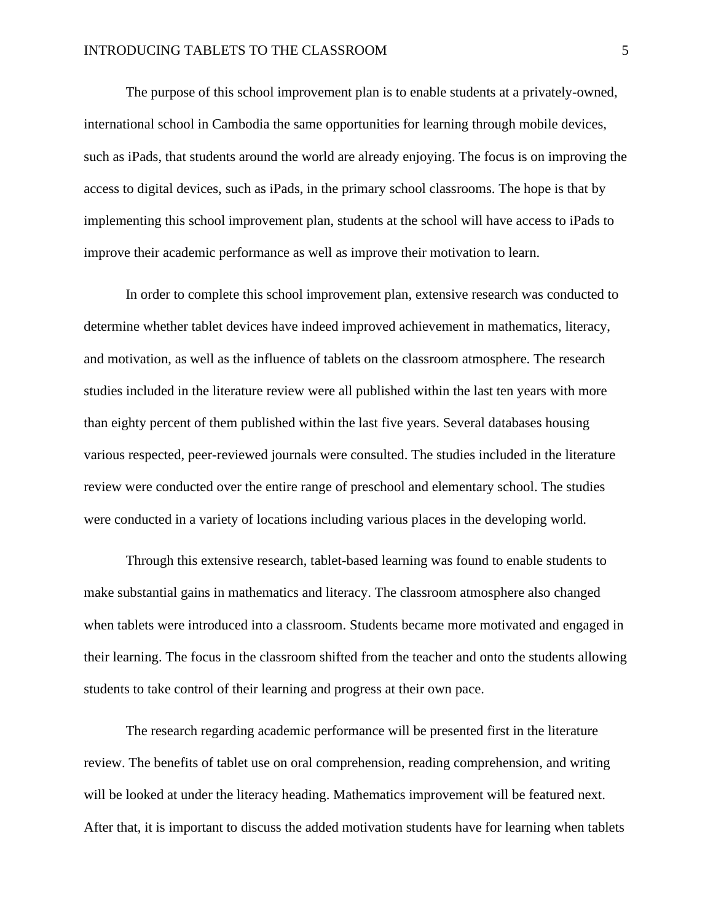The purpose of this school improvement plan is to enable students at a privately-owned, international school in Cambodia the same opportunities for learning through mobile devices, such as iPads, that students around the world are already enjoying. The focus is on improving the access to digital devices, such as iPads, in the primary school classrooms. The hope is that by implementing this school improvement plan, students at the school will have access to iPads to improve their academic performance as well as improve their motivation to learn.

In order to complete this school improvement plan, extensive research was conducted to determine whether tablet devices have indeed improved achievement in mathematics, literacy, and motivation, as well as the influence of tablets on the classroom atmosphere. The research studies included in the literature review were all published within the last ten years with more than eighty percent of them published within the last five years. Several databases housing various respected, peer-reviewed journals were consulted. The studies included in the literature review were conducted over the entire range of preschool and elementary school. The studies were conducted in a variety of locations including various places in the developing world.

Through this extensive research, tablet-based learning was found to enable students to make substantial gains in mathematics and literacy. The classroom atmosphere also changed when tablets were introduced into a classroom. Students became more motivated and engaged in their learning. The focus in the classroom shifted from the teacher and onto the students allowing students to take control of their learning and progress at their own pace.

The research regarding academic performance will be presented first in the literature review. The benefits of tablet use on oral comprehension, reading comprehension, and writing will be looked at under the literacy heading. Mathematics improvement will be featured next. After that, it is important to discuss the added motivation students have for learning when tablets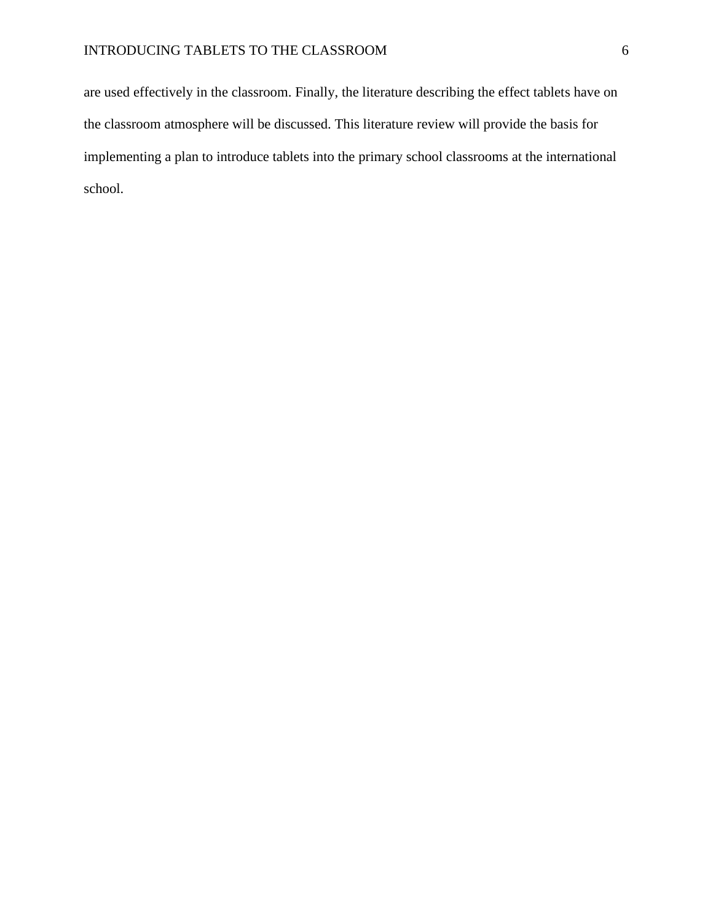are used effectively in the classroom. Finally, the literature describing the effect tablets have on the classroom atmosphere will be discussed. This literature review will provide the basis for implementing a plan to introduce tablets into the primary school classrooms at the international school.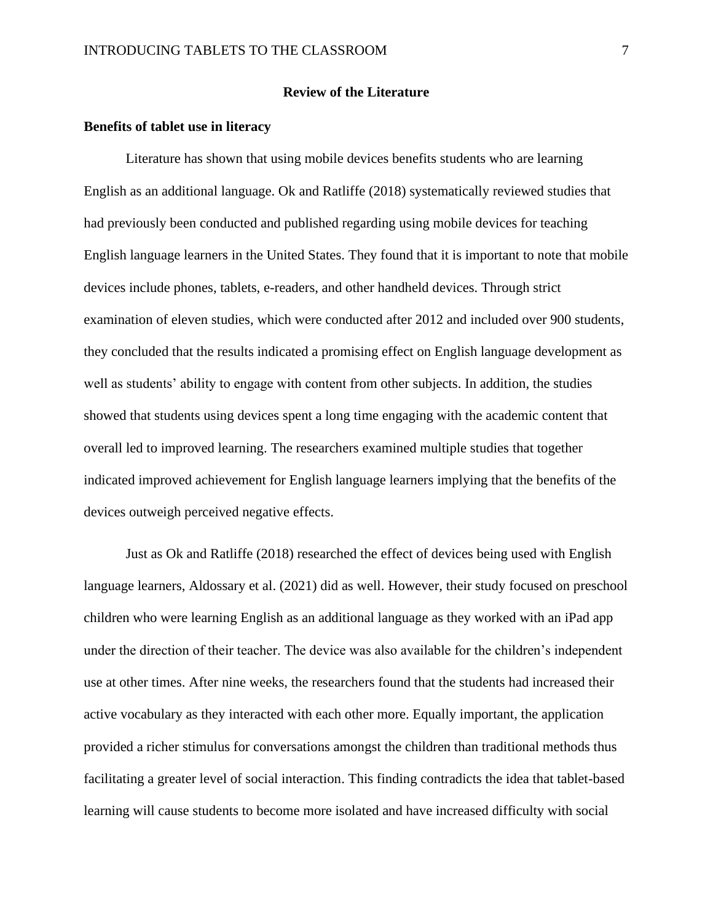#### **Review of the Literature**

### <span id="page-7-1"></span><span id="page-7-0"></span>**Benefits of tablet use in literacy**

Literature has shown that using mobile devices benefits students who are learning English as an additional language. Ok and Ratliffe (2018) systematically reviewed studies that had previously been conducted and published regarding using mobile devices for teaching English language learners in the United States. They found that it is important to note that mobile devices include phones, tablets, e-readers, and other handheld devices. Through strict examination of eleven studies, which were conducted after 2012 and included over 900 students, they concluded that the results indicated a promising effect on English language development as well as students' ability to engage with content from other subjects. In addition, the studies showed that students using devices spent a long time engaging with the academic content that overall led to improved learning. The researchers examined multiple studies that together indicated improved achievement for English language learners implying that the benefits of the devices outweigh perceived negative effects.

Just as Ok and Ratliffe (2018) researched the effect of devices being used with English language learners, Aldossary et al. (2021) did as well. However, their study focused on preschool children who were learning English as an additional language as they worked with an iPad app under the direction of their teacher. The device was also available for the children's independent use at other times. After nine weeks, the researchers found that the students had increased their active vocabulary as they interacted with each other more. Equally important, the application provided a richer stimulus for conversations amongst the children than traditional methods thus facilitating a greater level of social interaction. This finding contradicts the idea that tablet-based learning will cause students to become more isolated and have increased difficulty with social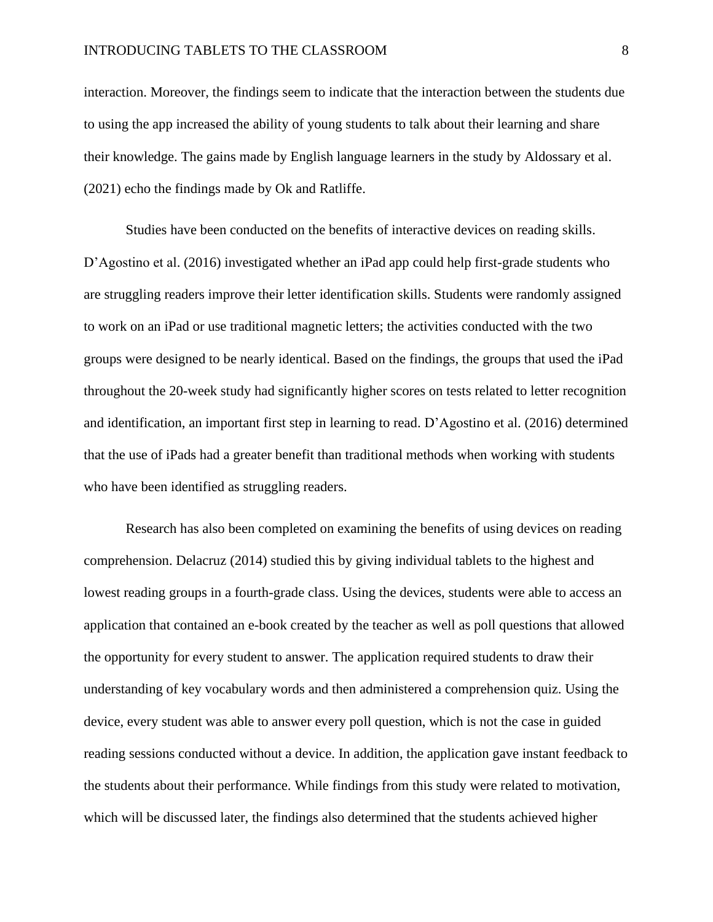interaction. Moreover, the findings seem to indicate that the interaction between the students due to using the app increased the ability of young students to talk about their learning and share their knowledge. The gains made by English language learners in the study by Aldossary et al. (2021) echo the findings made by Ok and Ratliffe.

Studies have been conducted on the benefits of interactive devices on reading skills. D'Agostino et al. (2016) investigated whether an iPad app could help first-grade students who are struggling readers improve their letter identification skills. Students were randomly assigned to work on an iPad or use traditional magnetic letters; the activities conducted with the two groups were designed to be nearly identical. Based on the findings, the groups that used the iPad throughout the 20-week study had significantly higher scores on tests related to letter recognition and identification, an important first step in learning to read. D'Agostino et al. (2016) determined that the use of iPads had a greater benefit than traditional methods when working with students who have been identified as struggling readers.

Research has also been completed on examining the benefits of using devices on reading comprehension. Delacruz (2014) studied this by giving individual tablets to the highest and lowest reading groups in a fourth-grade class. Using the devices, students were able to access an application that contained an e-book created by the teacher as well as poll questions that allowed the opportunity for every student to answer. The application required students to draw their understanding of key vocabulary words and then administered a comprehension quiz. Using the device, every student was able to answer every poll question, which is not the case in guided reading sessions conducted without a device. In addition, the application gave instant feedback to the students about their performance. While findings from this study were related to motivation, which will be discussed later, the findings also determined that the students achieved higher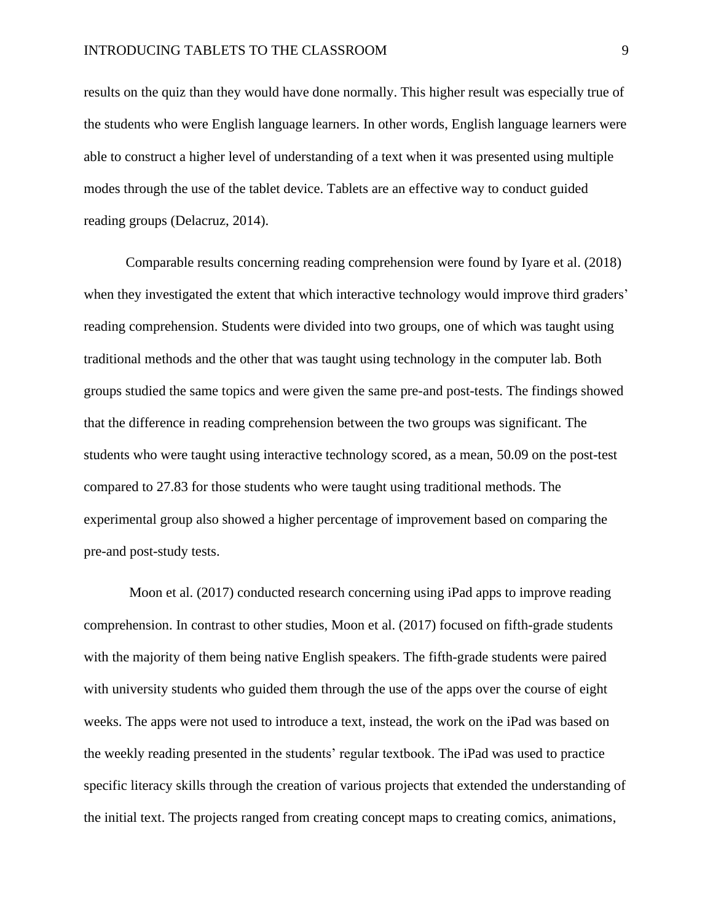results on the quiz than they would have done normally. This higher result was especially true of the students who were English language learners. In other words, English language learners were able to construct a higher level of understanding of a text when it was presented using multiple modes through the use of the tablet device. Tablets are an effective way to conduct guided reading groups (Delacruz, 2014).

Comparable results concerning reading comprehension were found by Iyare et al. (2018) when they investigated the extent that which interactive technology would improve third graders' reading comprehension. Students were divided into two groups, one of which was taught using traditional methods and the other that was taught using technology in the computer lab. Both groups studied the same topics and were given the same pre-and post-tests. The findings showed that the difference in reading comprehension between the two groups was significant. The students who were taught using interactive technology scored, as a mean, 50.09 on the post-test compared to 27.83 for those students who were taught using traditional methods. The experimental group also showed a higher percentage of improvement based on comparing the pre-and post-study tests.

Moon et al. (2017) conducted research concerning using iPad apps to improve reading comprehension. In contrast to other studies, Moon et al. (2017) focused on fifth-grade students with the majority of them being native English speakers. The fifth-grade students were paired with university students who guided them through the use of the apps over the course of eight weeks. The apps were not used to introduce a text, instead, the work on the iPad was based on the weekly reading presented in the students' regular textbook. The iPad was used to practice specific literacy skills through the creation of various projects that extended the understanding of the initial text. The projects ranged from creating concept maps to creating comics, animations,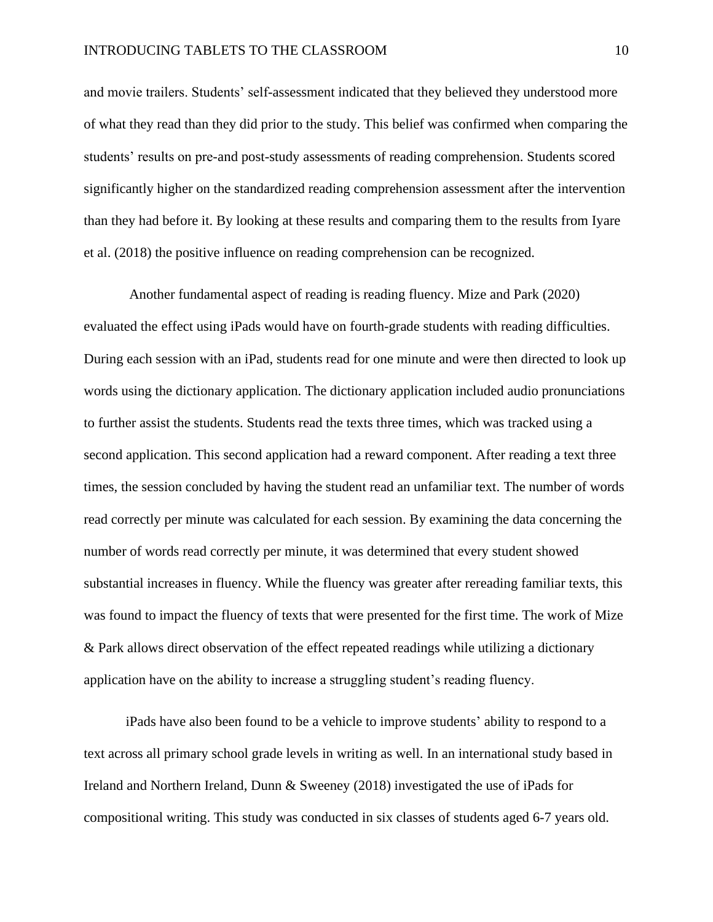and movie trailers. Students' self-assessment indicated that they believed they understood more of what they read than they did prior to the study. This belief was confirmed when comparing the students' results on pre-and post-study assessments of reading comprehension. Students scored significantly higher on the standardized reading comprehension assessment after the intervention than they had before it. By looking at these results and comparing them to the results from Iyare et al. (2018) the positive influence on reading comprehension can be recognized.

Another fundamental aspect of reading is reading fluency. Mize and Park (2020) evaluated the effect using iPads would have on fourth-grade students with reading difficulties. During each session with an iPad, students read for one minute and were then directed to look up words using the dictionary application. The dictionary application included audio pronunciations to further assist the students. Students read the texts three times, which was tracked using a second application. This second application had a reward component. After reading a text three times, the session concluded by having the student read an unfamiliar text. The number of words read correctly per minute was calculated for each session. By examining the data concerning the number of words read correctly per minute, it was determined that every student showed substantial increases in fluency. While the fluency was greater after rereading familiar texts, this was found to impact the fluency of texts that were presented for the first time. The work of Mize & Park allows direct observation of the effect repeated readings while utilizing a dictionary application have on the ability to increase a struggling student's reading fluency.

iPads have also been found to be a vehicle to improve students' ability to respond to a text across all primary school grade levels in writing as well. In an international study based in Ireland and Northern Ireland, Dunn & Sweeney (2018) investigated the use of iPads for compositional writing. This study was conducted in six classes of students aged 6-7 years old.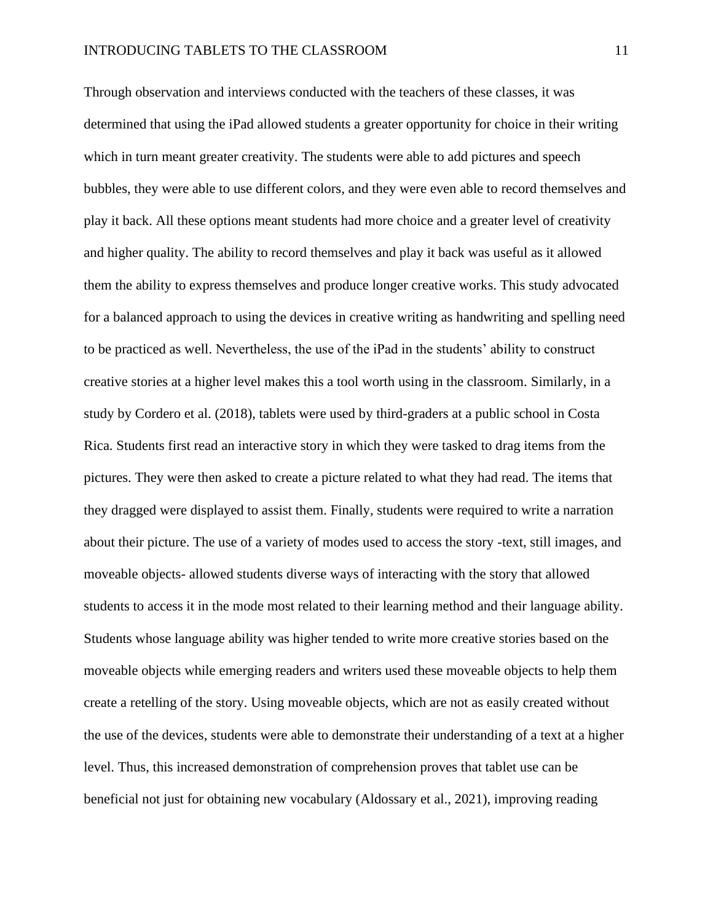Through observation and interviews conducted with the teachers of these classes, it was determined that using the iPad allowed students a greater opportunity for choice in their writing which in turn meant greater creativity. The students were able to add pictures and speech bubbles, they were able to use different colors, and they were even able to record themselves and play it back. All these options meant students had more choice and a greater level of creativity and higher quality. The ability to record themselves and play it back was useful as it allowed them the ability to express themselves and produce longer creative works. This study advocated for a balanced approach to using the devices in creative writing as handwriting and spelling need to be practiced as well. Nevertheless, the use of the iPad in the students' ability to construct creative stories at a higher level makes this a tool worth using in the classroom. Similarly, in a study by Cordero et al. (2018), tablets were used by third-graders at a public school in Costa Rica. Students first read an interactive story in which they were tasked to drag items from the pictures. They were then asked to create a picture related to what they had read. The items that they dragged were displayed to assist them. Finally, students were required to write a narration about their picture. The use of a variety of modes used to access the story -text, still images, and moveable objects- allowed students diverse ways of interacting with the story that allowed students to access it in the mode most related to their learning method and their language ability. Students whose language ability was higher tended to write more creative stories based on the moveable objects while emerging readers and writers used these moveable objects to help them create a retelling of the story. Using moveable objects, which are not as easily created without the use of the devices, students were able to demonstrate their understanding of a text at a higher level. Thus, this increased demonstration of comprehension proves that tablet use can be beneficial not just for obtaining new vocabulary (Aldossary et al., 2021), improving reading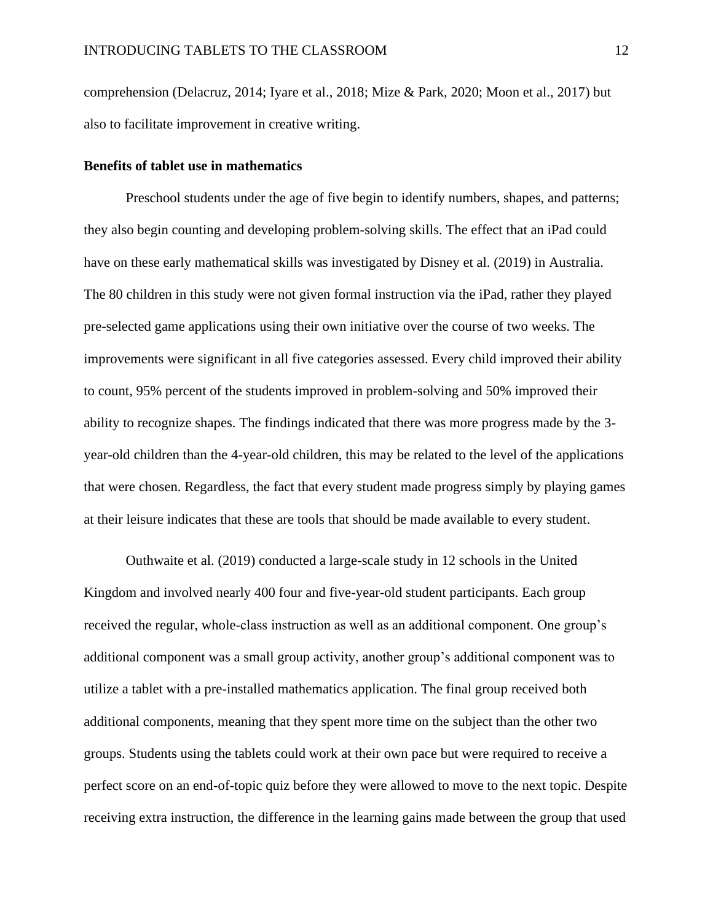comprehension (Delacruz, 2014; Iyare et al., 2018; Mize & Park, 2020; Moon et al., 2017) but also to facilitate improvement in creative writing.

#### <span id="page-12-0"></span>**Benefits of tablet use in mathematics**

Preschool students under the age of five begin to identify numbers, shapes, and patterns; they also begin counting and developing problem-solving skills. The effect that an iPad could have on these early mathematical skills was investigated by Disney et al. (2019) in Australia. The 80 children in this study were not given formal instruction via the iPad, rather they played pre-selected game applications using their own initiative over the course of two weeks. The improvements were significant in all five categories assessed. Every child improved their ability to count, 95% percent of the students improved in problem-solving and 50% improved their ability to recognize shapes. The findings indicated that there was more progress made by the 3 year-old children than the 4-year-old children, this may be related to the level of the applications that were chosen. Regardless, the fact that every student made progress simply by playing games at their leisure indicates that these are tools that should be made available to every student.

Outhwaite et al. (2019) conducted a large-scale study in 12 schools in the United Kingdom and involved nearly 400 four and five-year-old student participants. Each group received the regular, whole-class instruction as well as an additional component. One group's additional component was a small group activity, another group's additional component was to utilize a tablet with a pre-installed mathematics application. The final group received both additional components, meaning that they spent more time on the subject than the other two groups. Students using the tablets could work at their own pace but were required to receive a perfect score on an end-of-topic quiz before they were allowed to move to the next topic. Despite receiving extra instruction, the difference in the learning gains made between the group that used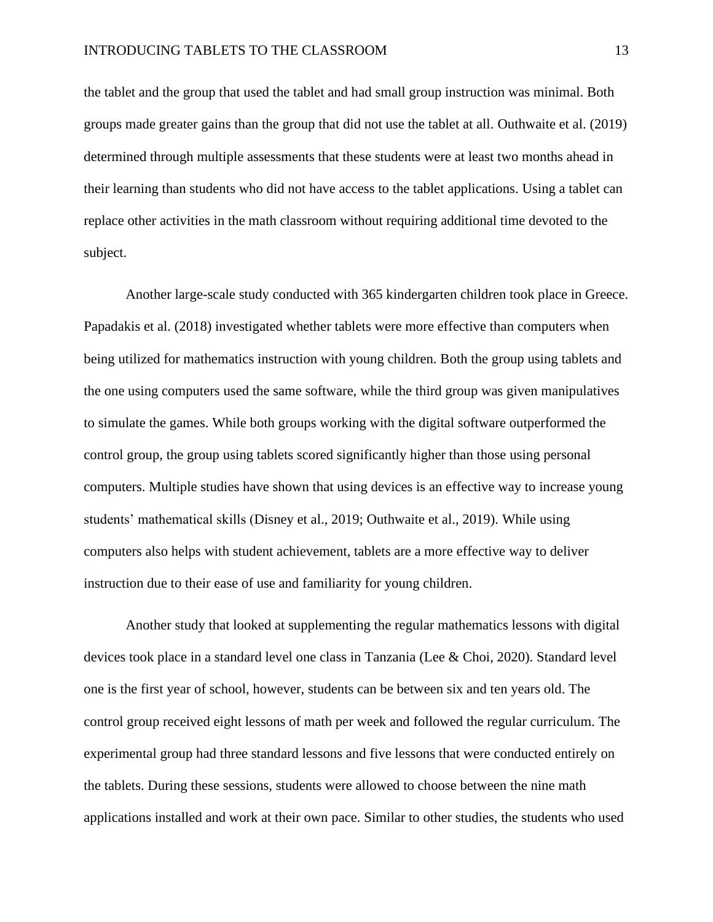the tablet and the group that used the tablet and had small group instruction was minimal. Both groups made greater gains than the group that did not use the tablet at all. Outhwaite et al. (2019) determined through multiple assessments that these students were at least two months ahead in their learning than students who did not have access to the tablet applications. Using a tablet can replace other activities in the math classroom without requiring additional time devoted to the subject.

Another large-scale study conducted with 365 kindergarten children took place in Greece. Papadakis et al. (2018) investigated whether tablets were more effective than computers when being utilized for mathematics instruction with young children. Both the group using tablets and the one using computers used the same software, while the third group was given manipulatives to simulate the games. While both groups working with the digital software outperformed the control group, the group using tablets scored significantly higher than those using personal computers. Multiple studies have shown that using devices is an effective way to increase young students' mathematical skills (Disney et al., 2019; Outhwaite et al., 2019). While using computers also helps with student achievement, tablets are a more effective way to deliver instruction due to their ease of use and familiarity for young children.

Another study that looked at supplementing the regular mathematics lessons with digital devices took place in a standard level one class in Tanzania (Lee & Choi, 2020). Standard level one is the first year of school, however, students can be between six and ten years old. The control group received eight lessons of math per week and followed the regular curriculum. The experimental group had three standard lessons and five lessons that were conducted entirely on the tablets. During these sessions, students were allowed to choose between the nine math applications installed and work at their own pace. Similar to other studies, the students who used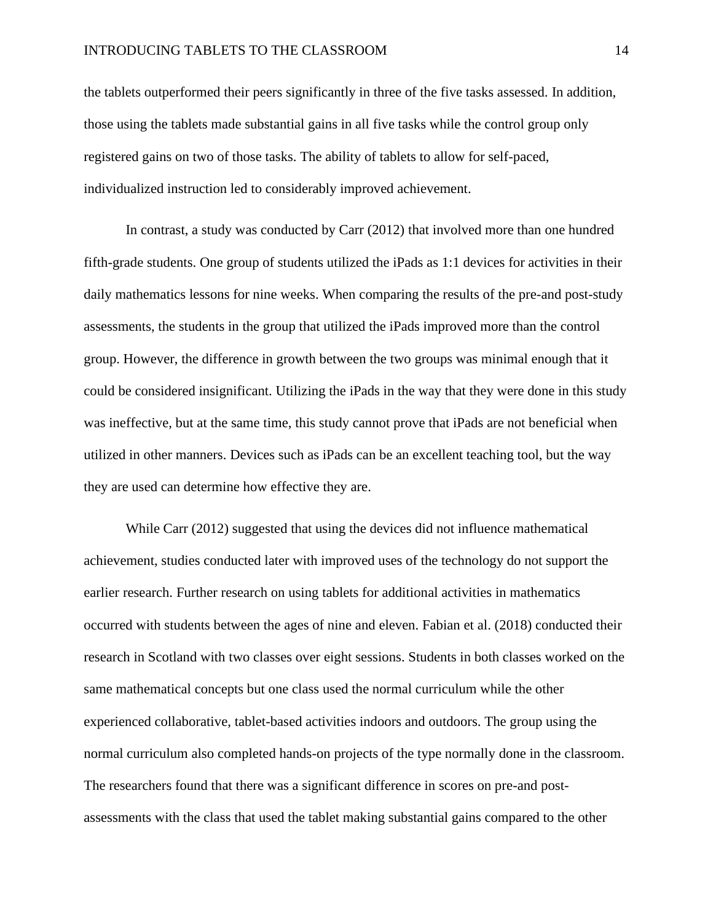the tablets outperformed their peers significantly in three of the five tasks assessed. In addition, those using the tablets made substantial gains in all five tasks while the control group only registered gains on two of those tasks. The ability of tablets to allow for self-paced, individualized instruction led to considerably improved achievement.

In contrast, a study was conducted by Carr (2012) that involved more than one hundred fifth-grade students. One group of students utilized the iPads as 1:1 devices for activities in their daily mathematics lessons for nine weeks. When comparing the results of the pre-and post-study assessments, the students in the group that utilized the iPads improved more than the control group. However, the difference in growth between the two groups was minimal enough that it could be considered insignificant. Utilizing the iPads in the way that they were done in this study was ineffective, but at the same time, this study cannot prove that iPads are not beneficial when utilized in other manners. Devices such as iPads can be an excellent teaching tool, but the way they are used can determine how effective they are.

While Carr (2012) suggested that using the devices did not influence mathematical achievement, studies conducted later with improved uses of the technology do not support the earlier research. Further research on using tablets for additional activities in mathematics occurred with students between the ages of nine and eleven. Fabian et al. (2018) conducted their research in Scotland with two classes over eight sessions. Students in both classes worked on the same mathematical concepts but one class used the normal curriculum while the other experienced collaborative, tablet-based activities indoors and outdoors. The group using the normal curriculum also completed hands-on projects of the type normally done in the classroom. The researchers found that there was a significant difference in scores on pre-and postassessments with the class that used the tablet making substantial gains compared to the other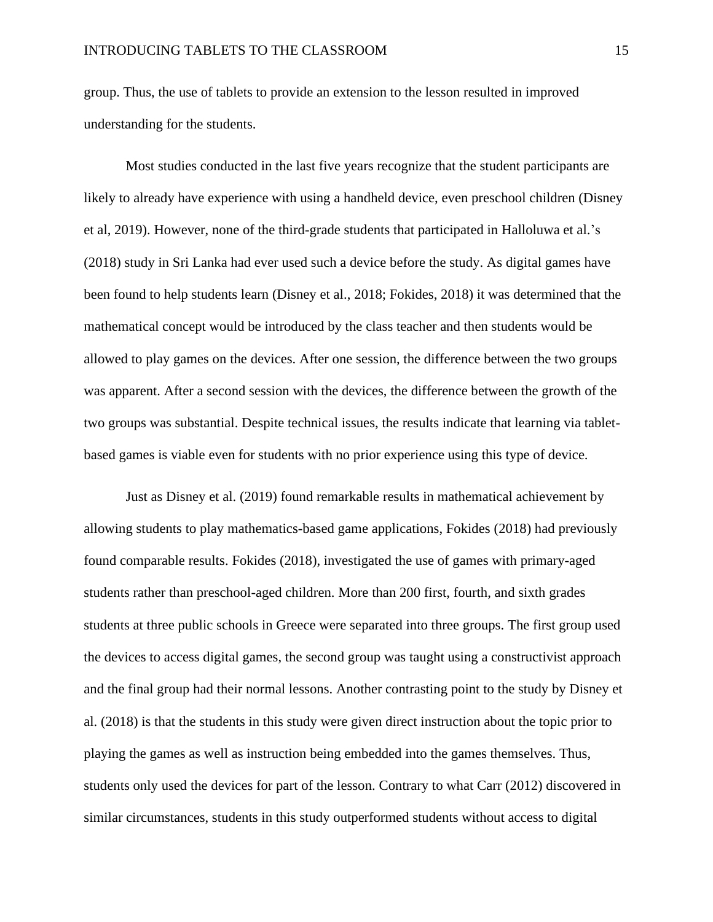group. Thus, the use of tablets to provide an extension to the lesson resulted in improved understanding for the students.

Most studies conducted in the last five years recognize that the student participants are likely to already have experience with using a handheld device, even preschool children (Disney et al, 2019). However, none of the third-grade students that participated in Halloluwa et al.'s (2018) study in Sri Lanka had ever used such a device before the study. As digital games have been found to help students learn (Disney et al., 2018; Fokides, 2018) it was determined that the mathematical concept would be introduced by the class teacher and then students would be allowed to play games on the devices. After one session, the difference between the two groups was apparent. After a second session with the devices, the difference between the growth of the two groups was substantial. Despite technical issues, the results indicate that learning via tabletbased games is viable even for students with no prior experience using this type of device.

Just as Disney et al. (2019) found remarkable results in mathematical achievement by allowing students to play mathematics-based game applications, Fokides (2018) had previously found comparable results. Fokides (2018), investigated the use of games with primary-aged students rather than preschool-aged children. More than 200 first, fourth, and sixth grades students at three public schools in Greece were separated into three groups. The first group used the devices to access digital games, the second group was taught using a constructivist approach and the final group had their normal lessons. Another contrasting point to the study by Disney et al. (2018) is that the students in this study were given direct instruction about the topic prior to playing the games as well as instruction being embedded into the games themselves. Thus, students only used the devices for part of the lesson. Contrary to what Carr (2012) discovered in similar circumstances, students in this study outperformed students without access to digital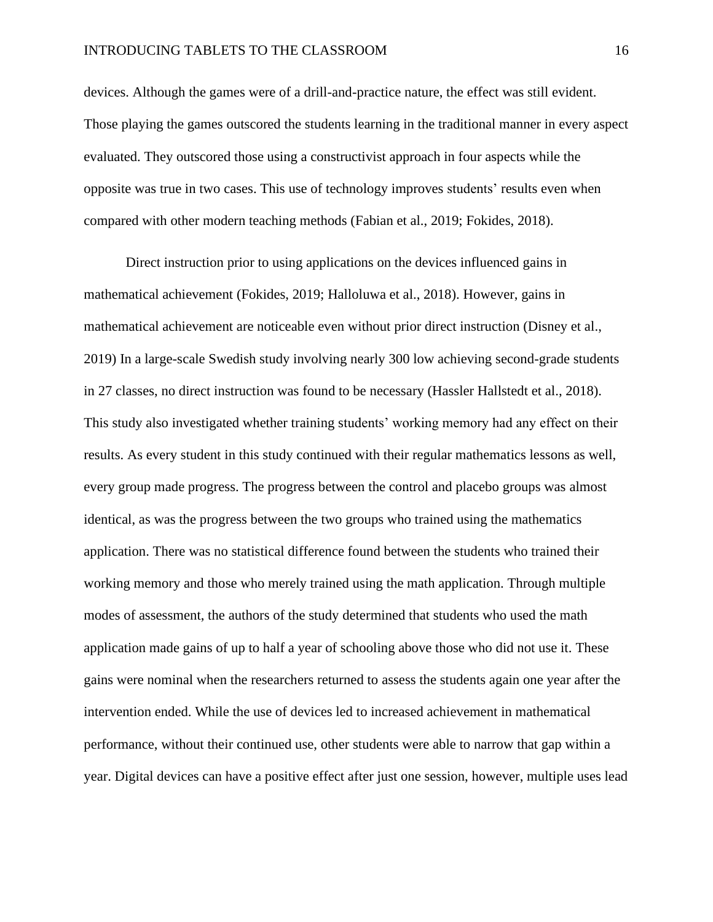devices. Although the games were of a drill-and-practice nature, the effect was still evident. Those playing the games outscored the students learning in the traditional manner in every aspect evaluated. They outscored those using a constructivist approach in four aspects while the opposite was true in two cases. This use of technology improves students' results even when compared with other modern teaching methods (Fabian et al., 2019; Fokides, 2018).

Direct instruction prior to using applications on the devices influenced gains in mathematical achievement (Fokides, 2019; Halloluwa et al., 2018). However, gains in mathematical achievement are noticeable even without prior direct instruction (Disney et al., 2019) In a large-scale Swedish study involving nearly 300 low achieving second-grade students in 27 classes, no direct instruction was found to be necessary (Hassler Hallstedt et al., 2018). This study also investigated whether training students' working memory had any effect on their results. As every student in this study continued with their regular mathematics lessons as well, every group made progress. The progress between the control and placebo groups was almost identical, as was the progress between the two groups who trained using the mathematics application. There was no statistical difference found between the students who trained their working memory and those who merely trained using the math application. Through multiple modes of assessment, the authors of the study determined that students who used the math application made gains of up to half a year of schooling above those who did not use it. These gains were nominal when the researchers returned to assess the students again one year after the intervention ended. While the use of devices led to increased achievement in mathematical performance, without their continued use, other students were able to narrow that gap within a year. Digital devices can have a positive effect after just one session, however, multiple uses lead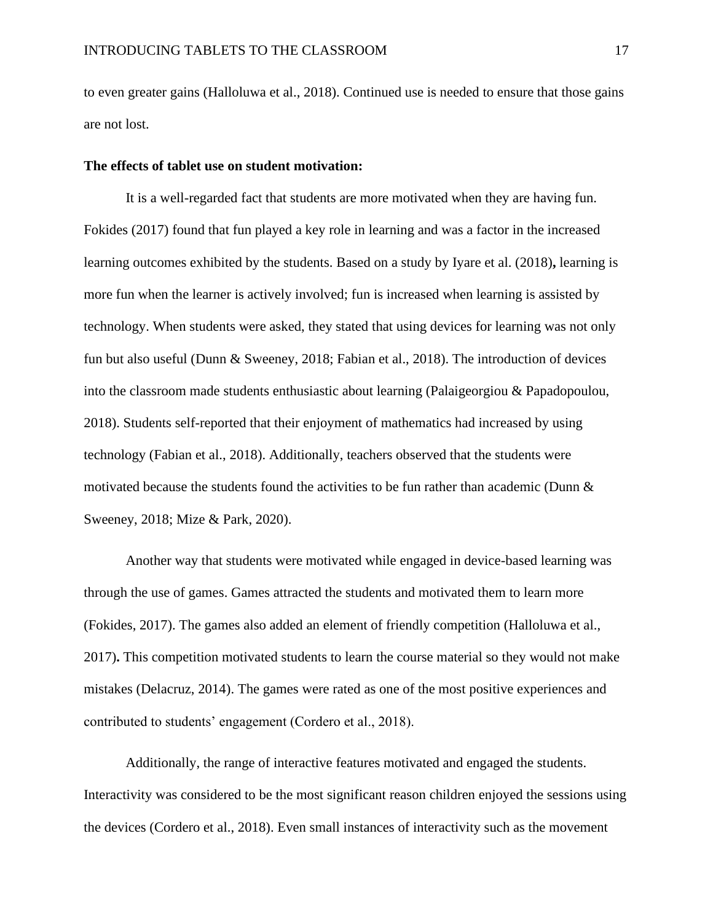to even greater gains (Halloluwa et al., 2018). Continued use is needed to ensure that those gains are not lost.

#### <span id="page-17-0"></span>**The effects of tablet use on student motivation:**

It is a well-regarded fact that students are more motivated when they are having fun. Fokides (2017) found that fun played a key role in learning and was a factor in the increased learning outcomes exhibited by the students. Based on a study by Iyare et al. (2018)**,** learning is more fun when the learner is actively involved; fun is increased when learning is assisted by technology. When students were asked, they stated that using devices for learning was not only fun but also useful (Dunn & Sweeney, 2018; Fabian et al., 2018). The introduction of devices into the classroom made students enthusiastic about learning (Palaigeorgiou & Papadopoulou, 2018). Students self-reported that their enjoyment of mathematics had increased by using technology (Fabian et al., 2018). Additionally, teachers observed that the students were motivated because the students found the activities to be fun rather than academic (Dunn & Sweeney, 2018; Mize & Park, 2020).

Another way that students were motivated while engaged in device-based learning was through the use of games. Games attracted the students and motivated them to learn more (Fokides, 2017). The games also added an element of friendly competition (Halloluwa et al., 2017)**.** This competition motivated students to learn the course material so they would not make mistakes (Delacruz, 2014). The games were rated as one of the most positive experiences and contributed to students' engagement (Cordero et al., 2018).

Additionally, the range of interactive features motivated and engaged the students. Interactivity was considered to be the most significant reason children enjoyed the sessions using the devices (Cordero et al., 2018). Even small instances of interactivity such as the movement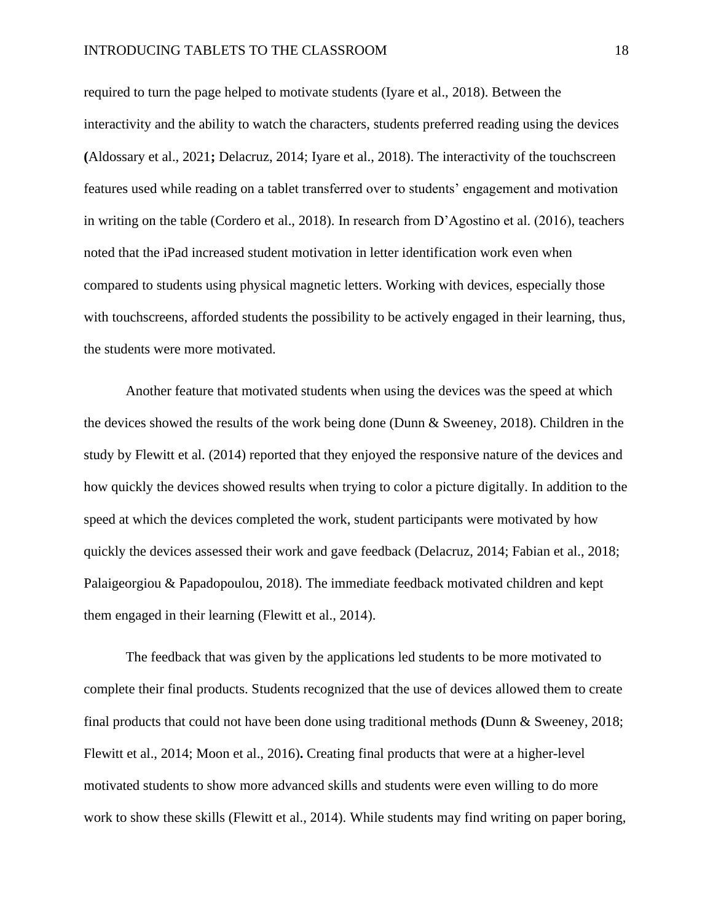#### INTRODUCING TABLETS TO THE CLASSROOM 18

required to turn the page helped to motivate students (Iyare et al., 2018). Between the interactivity and the ability to watch the characters, students preferred reading using the devices **(**Aldossary et al., 2021**;** Delacruz, 2014; Iyare et al., 2018). The interactivity of the touchscreen features used while reading on a tablet transferred over to students' engagement and motivation in writing on the table (Cordero et al., 2018). In research from D'Agostino et al. (2016), teachers noted that the iPad increased student motivation in letter identification work even when compared to students using physical magnetic letters. Working with devices, especially those with touchscreens, afforded students the possibility to be actively engaged in their learning, thus, the students were more motivated.

Another feature that motivated students when using the devices was the speed at which the devices showed the results of the work being done (Dunn & Sweeney, 2018). Children in the study by Flewitt et al. (2014) reported that they enjoyed the responsive nature of the devices and how quickly the devices showed results when trying to color a picture digitally. In addition to the speed at which the devices completed the work, student participants were motivated by how quickly the devices assessed their work and gave feedback (Delacruz, 2014; Fabian et al., 2018; Palaigeorgiou & Papadopoulou, 2018). The immediate feedback motivated children and kept them engaged in their learning (Flewitt et al., 2014).

The feedback that was given by the applications led students to be more motivated to complete their final products. Students recognized that the use of devices allowed them to create final products that could not have been done using traditional methods **(**Dunn & Sweeney, 2018; Flewitt et al., 2014; Moon et al., 2016)**.** Creating final products that were at a higher-level motivated students to show more advanced skills and students were even willing to do more work to show these skills (Flewitt et al., 2014). While students may find writing on paper boring,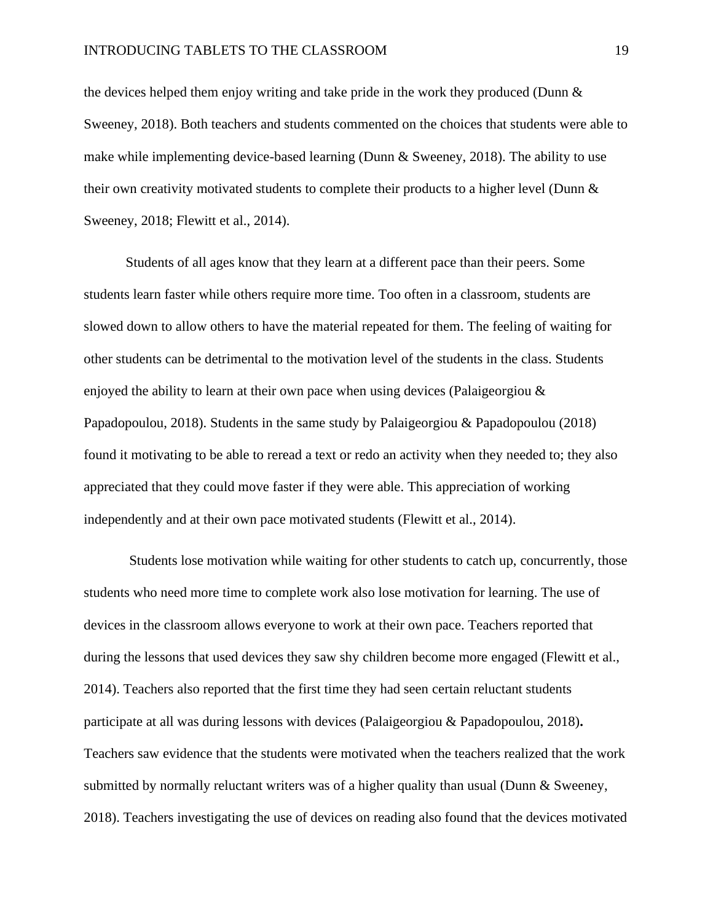#### INTRODUCING TABLETS TO THE CLASSROOM 19

the devices helped them enjoy writing and take pride in the work they produced (Dunn & Sweeney, 2018). Both teachers and students commented on the choices that students were able to make while implementing device-based learning (Dunn  $\&$  Sweeney, 2018). The ability to use their own creativity motivated students to complete their products to a higher level (Dunn & Sweeney, 2018; Flewitt et al., 2014).

Students of all ages know that they learn at a different pace than their peers. Some students learn faster while others require more time. Too often in a classroom, students are slowed down to allow others to have the material repeated for them. The feeling of waiting for other students can be detrimental to the motivation level of the students in the class. Students enjoyed the ability to learn at their own pace when using devices (Palaigeorgiou  $\&$ Papadopoulou, 2018). Students in the same study by Palaigeorgiou & Papadopoulou (2018) found it motivating to be able to reread a text or redo an activity when they needed to; they also appreciated that they could move faster if they were able. This appreciation of working independently and at their own pace motivated students (Flewitt et al., 2014).

Students lose motivation while waiting for other students to catch up, concurrently, those students who need more time to complete work also lose motivation for learning. The use of devices in the classroom allows everyone to work at their own pace. Teachers reported that during the lessons that used devices they saw shy children become more engaged (Flewitt et al., 2014). Teachers also reported that the first time they had seen certain reluctant students participate at all was during lessons with devices (Palaigeorgiou & Papadopoulou, 2018)**.** Teachers saw evidence that the students were motivated when the teachers realized that the work submitted by normally reluctant writers was of a higher quality than usual (Dunn & Sweeney, 2018). Teachers investigating the use of devices on reading also found that the devices motivated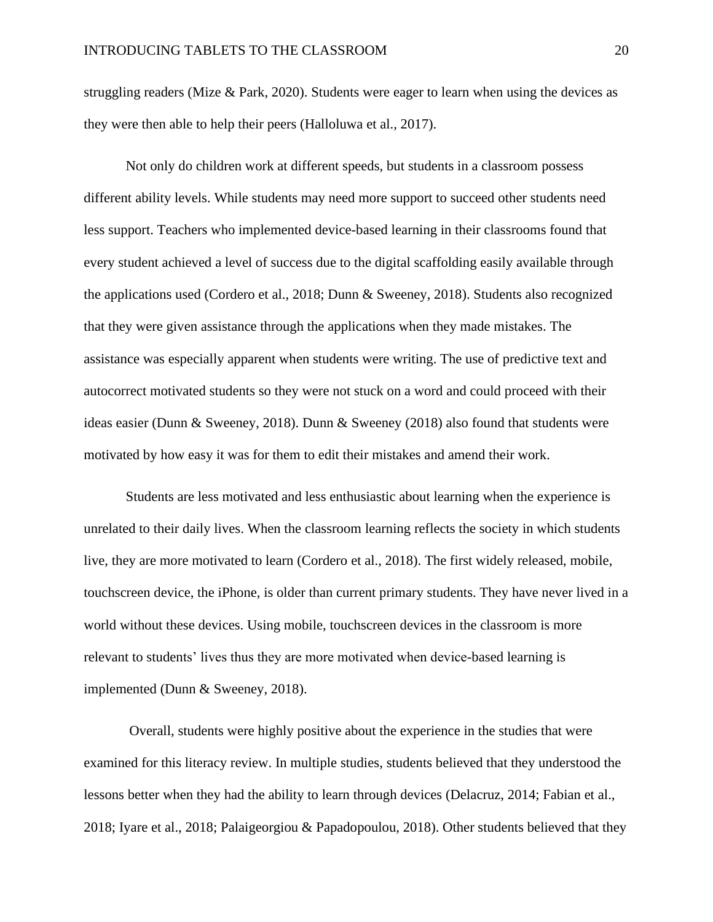struggling readers (Mize  $&$  Park, 2020). Students were eager to learn when using the devices as they were then able to help their peers (Halloluwa et al., 2017).

Not only do children work at different speeds, but students in a classroom possess different ability levels. While students may need more support to succeed other students need less support. Teachers who implemented device-based learning in their classrooms found that every student achieved a level of success due to the digital scaffolding easily available through the applications used (Cordero et al., 2018; Dunn & Sweeney, 2018). Students also recognized that they were given assistance through the applications when they made mistakes. The assistance was especially apparent when students were writing. The use of predictive text and autocorrect motivated students so they were not stuck on a word and could proceed with their ideas easier (Dunn & Sweeney, 2018). Dunn & Sweeney (2018) also found that students were motivated by how easy it was for them to edit their mistakes and amend their work.

Students are less motivated and less enthusiastic about learning when the experience is unrelated to their daily lives. When the classroom learning reflects the society in which students live, they are more motivated to learn (Cordero et al., 2018). The first widely released, mobile, touchscreen device, the iPhone, is older than current primary students. They have never lived in a world without these devices. Using mobile, touchscreen devices in the classroom is more relevant to students' lives thus they are more motivated when device-based learning is implemented (Dunn & Sweeney, 2018).

Overall, students were highly positive about the experience in the studies that were examined for this literacy review. In multiple studies, students believed that they understood the lessons better when they had the ability to learn through devices (Delacruz, 2014; Fabian et al., 2018; Iyare et al., 2018; Palaigeorgiou & Papadopoulou, 2018). Other students believed that they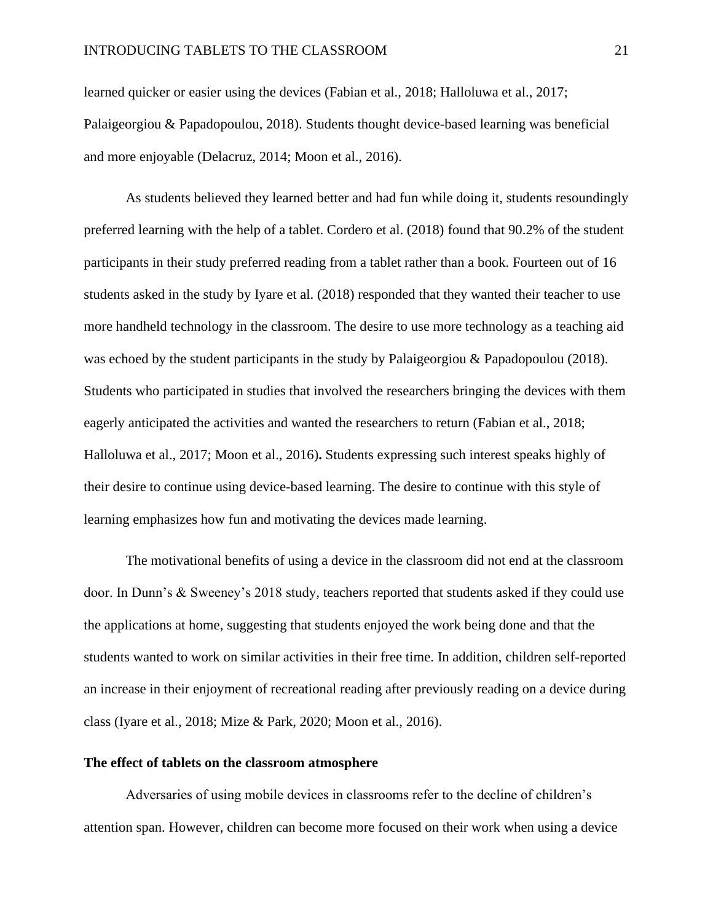learned quicker or easier using the devices (Fabian et al., 2018; Halloluwa et al., 2017; Palaigeorgiou & Papadopoulou, 2018). Students thought device-based learning was beneficial and more enjoyable (Delacruz, 2014; Moon et al., 2016).

As students believed they learned better and had fun while doing it, students resoundingly preferred learning with the help of a tablet. Cordero et al. (2018) found that 90.2% of the student participants in their study preferred reading from a tablet rather than a book. Fourteen out of 16 students asked in the study by Iyare et al. (2018) responded that they wanted their teacher to use more handheld technology in the classroom. The desire to use more technology as a teaching aid was echoed by the student participants in the study by Palaigeorgiou & Papadopoulou (2018). Students who participated in studies that involved the researchers bringing the devices with them eagerly anticipated the activities and wanted the researchers to return (Fabian et al., 2018; Halloluwa et al., 2017; Moon et al., 2016)**.** Students expressing such interest speaks highly of their desire to continue using device-based learning. The desire to continue with this style of learning emphasizes how fun and motivating the devices made learning.

The motivational benefits of using a device in the classroom did not end at the classroom door. In Dunn's & Sweeney's 2018 study, teachers reported that students asked if they could use the applications at home, suggesting that students enjoyed the work being done and that the students wanted to work on similar activities in their free time. In addition, children self-reported an increase in their enjoyment of recreational reading after previously reading on a device during class (Iyare et al., 2018; Mize & Park, 2020; Moon et al., 2016).

#### <span id="page-21-0"></span>**The effect of tablets on the classroom atmosphere**

Adversaries of using mobile devices in classrooms refer to the decline of children's attention span. However, children can become more focused on their work when using a device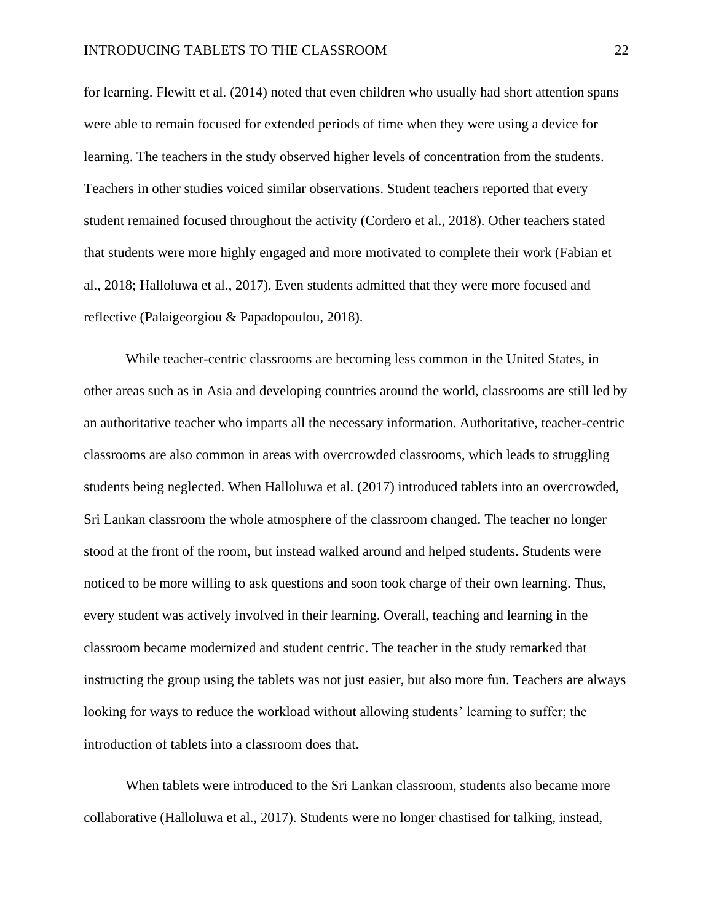for learning. Flewitt et al. (2014) noted that even children who usually had short attention spans were able to remain focused for extended periods of time when they were using a device for learning. The teachers in the study observed higher levels of concentration from the students. Teachers in other studies voiced similar observations. Student teachers reported that every student remained focused throughout the activity (Cordero et al., 2018). Other teachers stated that students were more highly engaged and more motivated to complete their work (Fabian et al., 2018; Halloluwa et al., 2017). Even students admitted that they were more focused and reflective (Palaigeorgiou & Papadopoulou, 2018).

While teacher-centric classrooms are becoming less common in the United States, in other areas such as in Asia and developing countries around the world, classrooms are still led by an authoritative teacher who imparts all the necessary information. Authoritative, teacher-centric classrooms are also common in areas with overcrowded classrooms, which leads to struggling students being neglected. When Halloluwa et al. (2017) introduced tablets into an overcrowded, Sri Lankan classroom the whole atmosphere of the classroom changed. The teacher no longer stood at the front of the room, but instead walked around and helped students. Students were noticed to be more willing to ask questions and soon took charge of their own learning. Thus, every student was actively involved in their learning. Overall, teaching and learning in the classroom became modernized and student centric. The teacher in the study remarked that instructing the group using the tablets was not just easier, but also more fun. Teachers are always looking for ways to reduce the workload without allowing students' learning to suffer; the introduction of tablets into a classroom does that.

When tablets were introduced to the Sri Lankan classroom, students also became more collaborative (Halloluwa et al., 2017). Students were no longer chastised for talking, instead,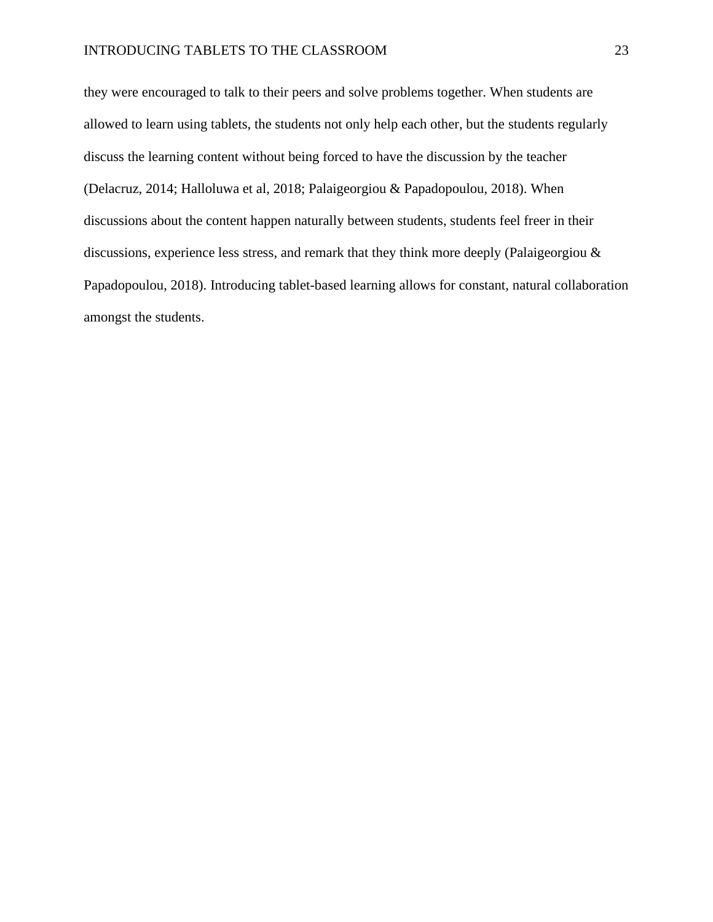they were encouraged to talk to their peers and solve problems together. When students are allowed to learn using tablets, the students not only help each other, but the students regularly discuss the learning content without being forced to have the discussion by the teacher (Delacruz, 2014; Halloluwa et al, 2018; Palaigeorgiou & Papadopoulou, 2018). When discussions about the content happen naturally between students, students feel freer in their discussions, experience less stress, and remark that they think more deeply (Palaigeorgiou & Papadopoulou, 2018). Introducing tablet-based learning allows for constant, natural collaboration amongst the students.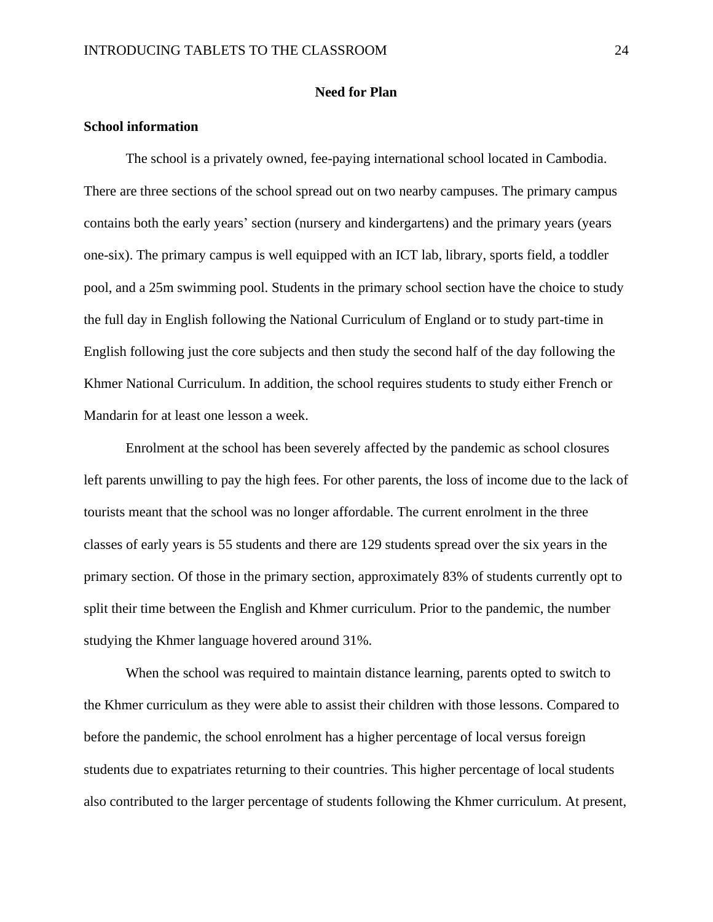#### <span id="page-24-0"></span>**Need for Plan**

#### <span id="page-24-1"></span>**School information**

The school is a privately owned, fee-paying international school located in Cambodia. There are three sections of the school spread out on two nearby campuses. The primary campus contains both the early years' section (nursery and kindergartens) and the primary years (years one-six). The primary campus is well equipped with an ICT lab, library, sports field, a toddler pool, and a 25m swimming pool. Students in the primary school section have the choice to study the full day in English following the National Curriculum of England or to study part-time in English following just the core subjects and then study the second half of the day following the Khmer National Curriculum. In addition, the school requires students to study either French or Mandarin for at least one lesson a week.

Enrolment at the school has been severely affected by the pandemic as school closures left parents unwilling to pay the high fees. For other parents, the loss of income due to the lack of tourists meant that the school was no longer affordable. The current enrolment in the three classes of early years is 55 students and there are 129 students spread over the six years in the primary section. Of those in the primary section, approximately 83% of students currently opt to split their time between the English and Khmer curriculum. Prior to the pandemic, the number studying the Khmer language hovered around 31%.

When the school was required to maintain distance learning, parents opted to switch to the Khmer curriculum as they were able to assist their children with those lessons. Compared to before the pandemic, the school enrolment has a higher percentage of local versus foreign students due to expatriates returning to their countries. This higher percentage of local students also contributed to the larger percentage of students following the Khmer curriculum. At present,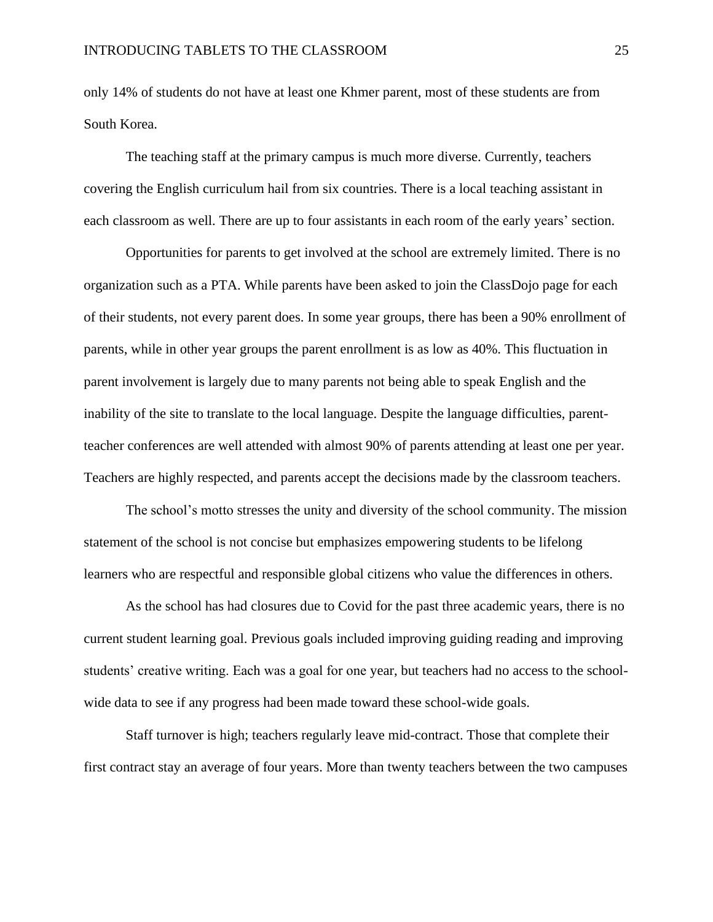only 14% of students do not have at least one Khmer parent, most of these students are from South Korea.

The teaching staff at the primary campus is much more diverse. Currently, teachers covering the English curriculum hail from six countries. There is a local teaching assistant in each classroom as well. There are up to four assistants in each room of the early years' section.

Opportunities for parents to get involved at the school are extremely limited. There is no organization such as a PTA. While parents have been asked to join the ClassDojo page for each of their students, not every parent does. In some year groups, there has been a 90% enrollment of parents, while in other year groups the parent enrollment is as low as 40%. This fluctuation in parent involvement is largely due to many parents not being able to speak English and the inability of the site to translate to the local language. Despite the language difficulties, parentteacher conferences are well attended with almost 90% of parents attending at least one per year. Teachers are highly respected, and parents accept the decisions made by the classroom teachers.

The school's motto stresses the unity and diversity of the school community. The mission statement of the school is not concise but emphasizes empowering students to be lifelong learners who are respectful and responsible global citizens who value the differences in others.

As the school has had closures due to Covid for the past three academic years, there is no current student learning goal. Previous goals included improving guiding reading and improving students' creative writing. Each was a goal for one year, but teachers had no access to the schoolwide data to see if any progress had been made toward these school-wide goals.

Staff turnover is high; teachers regularly leave mid-contract. Those that complete their first contract stay an average of four years. More than twenty teachers between the two campuses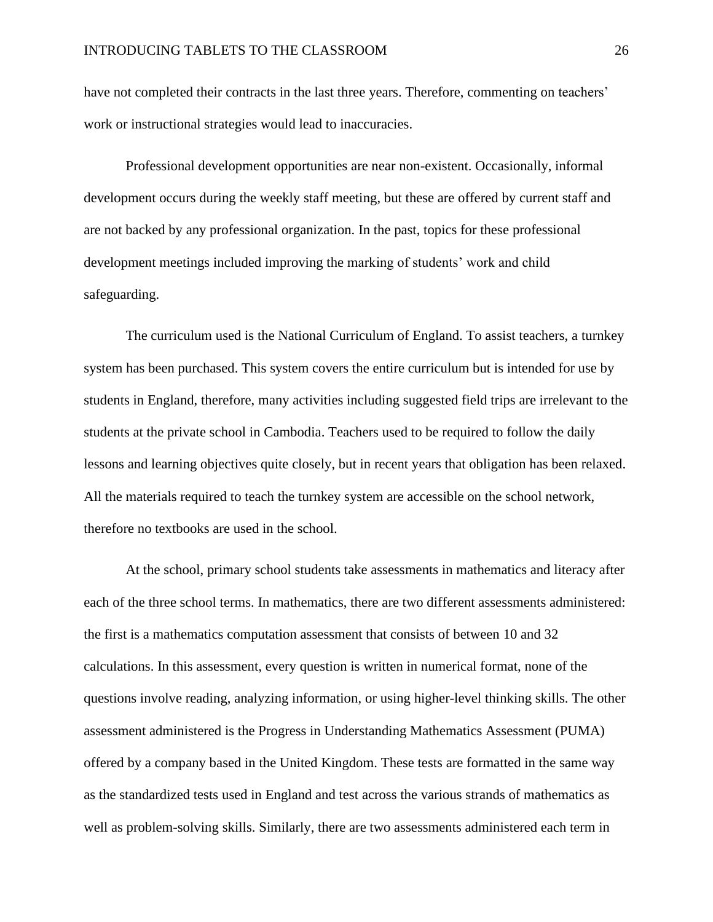have not completed their contracts in the last three years. Therefore, commenting on teachers' work or instructional strategies would lead to inaccuracies.

Professional development opportunities are near non-existent. Occasionally, informal development occurs during the weekly staff meeting, but these are offered by current staff and are not backed by any professional organization. In the past, topics for these professional development meetings included improving the marking of students' work and child safeguarding.

The curriculum used is the National Curriculum of England. To assist teachers, a turnkey system has been purchased. This system covers the entire curriculum but is intended for use by students in England, therefore, many activities including suggested field trips are irrelevant to the students at the private school in Cambodia. Teachers used to be required to follow the daily lessons and learning objectives quite closely, but in recent years that obligation has been relaxed. All the materials required to teach the turnkey system are accessible on the school network, therefore no textbooks are used in the school.

At the school, primary school students take assessments in mathematics and literacy after each of the three school terms. In mathematics, there are two different assessments administered: the first is a mathematics computation assessment that consists of between 10 and 32 calculations. In this assessment, every question is written in numerical format, none of the questions involve reading, analyzing information, or using higher-level thinking skills. The other assessment administered is the Progress in Understanding Mathematics Assessment (PUMA) offered by a company based in the United Kingdom. These tests are formatted in the same way as the standardized tests used in England and test across the various strands of mathematics as well as problem-solving skills. Similarly, there are two assessments administered each term in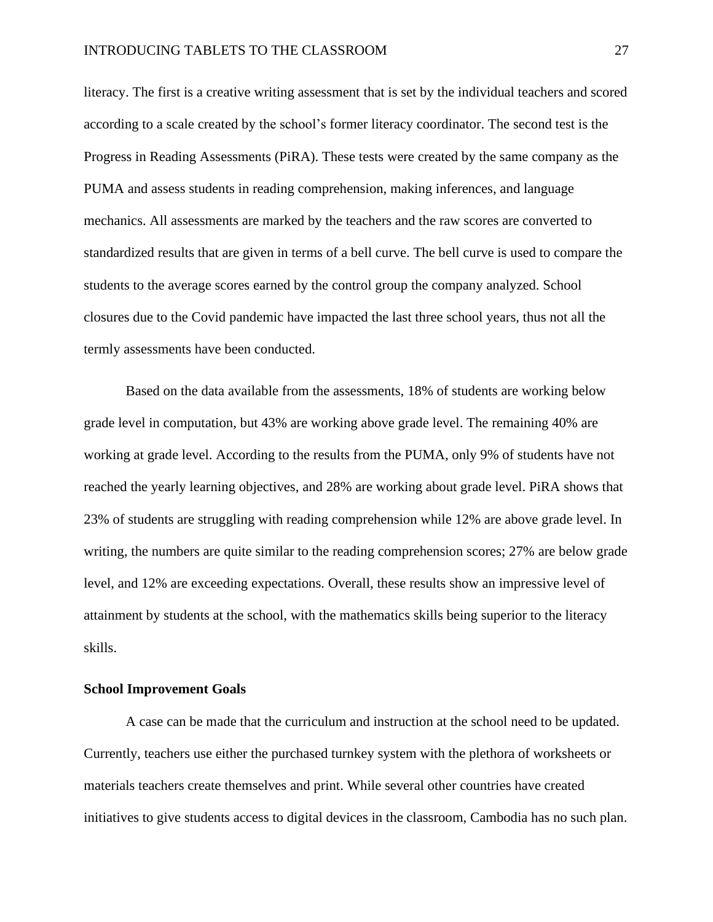literacy. The first is a creative writing assessment that is set by the individual teachers and scored according to a scale created by the school's former literacy coordinator. The second test is the Progress in Reading Assessments (PiRA). These tests were created by the same company as the PUMA and assess students in reading comprehension, making inferences, and language mechanics. All assessments are marked by the teachers and the raw scores are converted to standardized results that are given in terms of a bell curve. The bell curve is used to compare the students to the average scores earned by the control group the company analyzed. School closures due to the Covid pandemic have impacted the last three school years, thus not all the termly assessments have been conducted.

Based on the data available from the assessments, 18% of students are working below grade level in computation, but 43% are working above grade level. The remaining 40% are working at grade level. According to the results from the PUMA, only 9% of students have not reached the yearly learning objectives, and 28% are working about grade level. PiRA shows that 23% of students are struggling with reading comprehension while 12% are above grade level. In writing, the numbers are quite similar to the reading comprehension scores; 27% are below grade level, and 12% are exceeding expectations. Overall, these results show an impressive level of attainment by students at the school, with the mathematics skills being superior to the literacy skills.

#### <span id="page-27-0"></span>**School Improvement Goals**

A case can be made that the curriculum and instruction at the school need to be updated. Currently, teachers use either the purchased turnkey system with the plethora of worksheets or materials teachers create themselves and print. While several other countries have created initiatives to give students access to digital devices in the classroom, Cambodia has no such plan.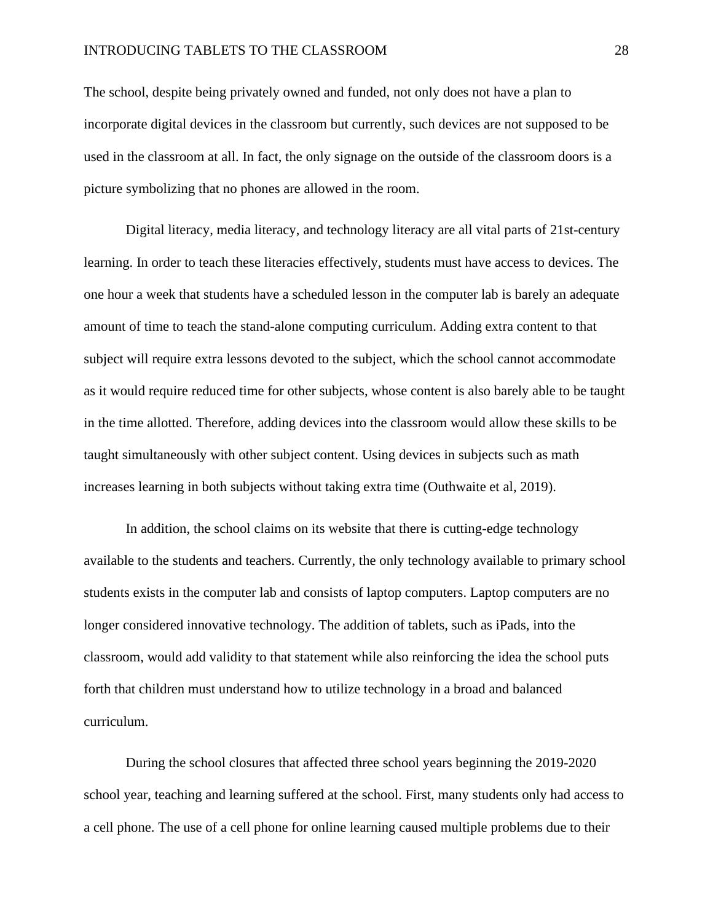#### INTRODUCING TABLETS TO THE CLASSROOM 28

The school, despite being privately owned and funded, not only does not have a plan to incorporate digital devices in the classroom but currently, such devices are not supposed to be used in the classroom at all. In fact, the only signage on the outside of the classroom doors is a picture symbolizing that no phones are allowed in the room.

Digital literacy, media literacy, and technology literacy are all vital parts of 21st-century learning. In order to teach these literacies effectively, students must have access to devices. The one hour a week that students have a scheduled lesson in the computer lab is barely an adequate amount of time to teach the stand-alone computing curriculum. Adding extra content to that subject will require extra lessons devoted to the subject, which the school cannot accommodate as it would require reduced time for other subjects, whose content is also barely able to be taught in the time allotted. Therefore, adding devices into the classroom would allow these skills to be taught simultaneously with other subject content. Using devices in subjects such as math increases learning in both subjects without taking extra time (Outhwaite et al, 2019).

In addition, the school claims on its website that there is cutting-edge technology available to the students and teachers. Currently, the only technology available to primary school students exists in the computer lab and consists of laptop computers. Laptop computers are no longer considered innovative technology. The addition of tablets, such as iPads, into the classroom, would add validity to that statement while also reinforcing the idea the school puts forth that children must understand how to utilize technology in a broad and balanced curriculum.

During the school closures that affected three school years beginning the 2019-2020 school year, teaching and learning suffered at the school. First, many students only had access to a cell phone. The use of a cell phone for online learning caused multiple problems due to their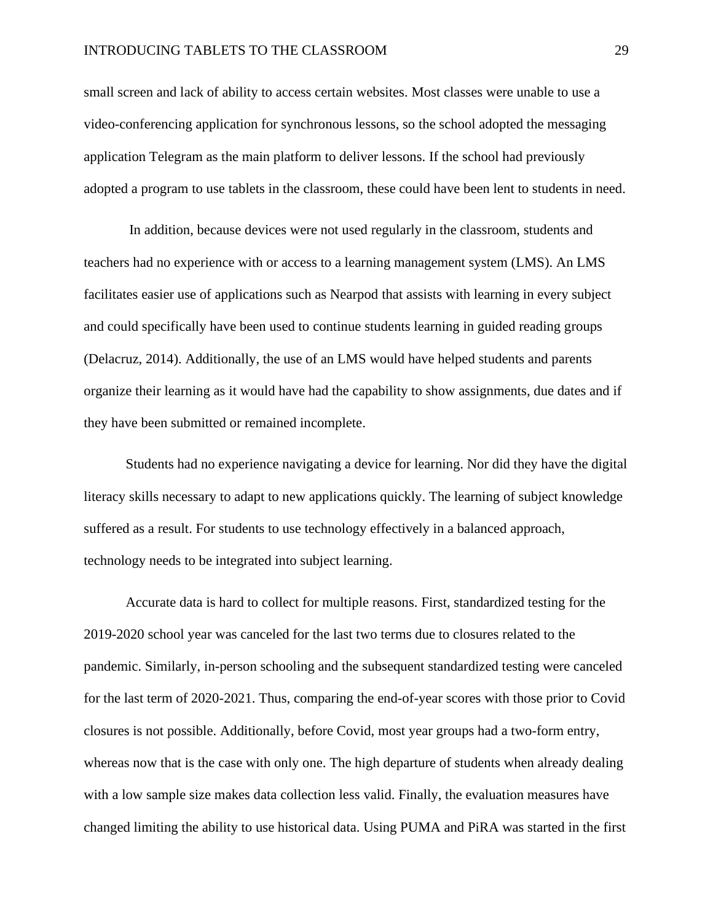small screen and lack of ability to access certain websites. Most classes were unable to use a video-conferencing application for synchronous lessons, so the school adopted the messaging application Telegram as the main platform to deliver lessons. If the school had previously adopted a program to use tablets in the classroom, these could have been lent to students in need.

In addition, because devices were not used regularly in the classroom, students and teachers had no experience with or access to a learning management system (LMS). An LMS facilitates easier use of applications such as Nearpod that assists with learning in every subject and could specifically have been used to continue students learning in guided reading groups (Delacruz, 2014). Additionally, the use of an LMS would have helped students and parents organize their learning as it would have had the capability to show assignments, due dates and if they have been submitted or remained incomplete.

Students had no experience navigating a device for learning. Nor did they have the digital literacy skills necessary to adapt to new applications quickly. The learning of subject knowledge suffered as a result. For students to use technology effectively in a balanced approach, technology needs to be integrated into subject learning.

Accurate data is hard to collect for multiple reasons. First, standardized testing for the 2019-2020 school year was canceled for the last two terms due to closures related to the pandemic. Similarly, in-person schooling and the subsequent standardized testing were canceled for the last term of 2020-2021. Thus, comparing the end-of-year scores with those prior to Covid closures is not possible. Additionally, before Covid, most year groups had a two-form entry, whereas now that is the case with only one. The high departure of students when already dealing with a low sample size makes data collection less valid. Finally, the evaluation measures have changed limiting the ability to use historical data. Using PUMA and PiRA was started in the first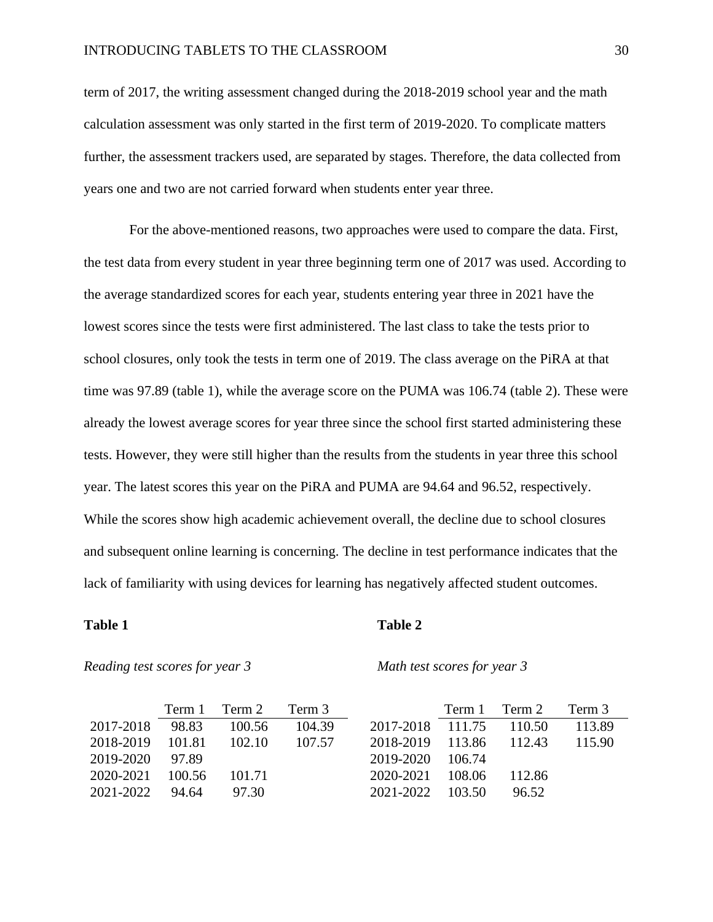#### INTRODUCING TABLETS TO THE CLASSROOM 30

term of 2017, the writing assessment changed during the 2018-2019 school year and the math calculation assessment was only started in the first term of 2019-2020. To complicate matters further, the assessment trackers used, are separated by stages. Therefore, the data collected from years one and two are not carried forward when students enter year three.

For the above-mentioned reasons, two approaches were used to compare the data. First, the test data from every student in year three beginning term one of 2017 was used. According to the average standardized scores for each year, students entering year three in 2021 have the lowest scores since the tests were first administered. The last class to take the tests prior to school closures, only took the tests in term one of 2019. The class average on the PiRA at that time was 97.89 (table 1), while the average score on the PUMA was 106.74 (table 2). These were already the lowest average scores for year three since the school first started administering these tests. However, they were still higher than the results from the students in year three this school year. The latest scores this year on the PiRA and PUMA are 94.64 and 96.52, respectively. While the scores show high academic achievement overall, the decline due to school closures and subsequent online learning is concerning. The decline in test performance indicates that the lack of familiarity with using devices for learning has negatively affected student outcomes.

#### **Table 1 Table 2**

#### *Reading test scores for year 3 Math test scores for year 3*

|                  |       | Term 1 Term 2 Term 3 |        |                         | Term 1 Term 2 | Term 3 |
|------------------|-------|----------------------|--------|-------------------------|---------------|--------|
| 2017-2018        | 98.83 | 100.56               | 104.39 | 2017-2018 111.75 110.50 |               | 113.89 |
| 2018-2019 101.81 |       | 102.10               | 107.57 | 2018-2019 113.86 112.43 |               | 115.90 |
| 2019-2020 97.89  |       |                      |        | 2019-2020 106.74        |               |        |
| 2020-2021 100.56 |       | 101.71               |        | 2020-2021 108.06        | - 112.86      |        |
| 2021-2022 94.64  |       | 97.30                |        | 2021-2022 103.50        | 96.52         |        |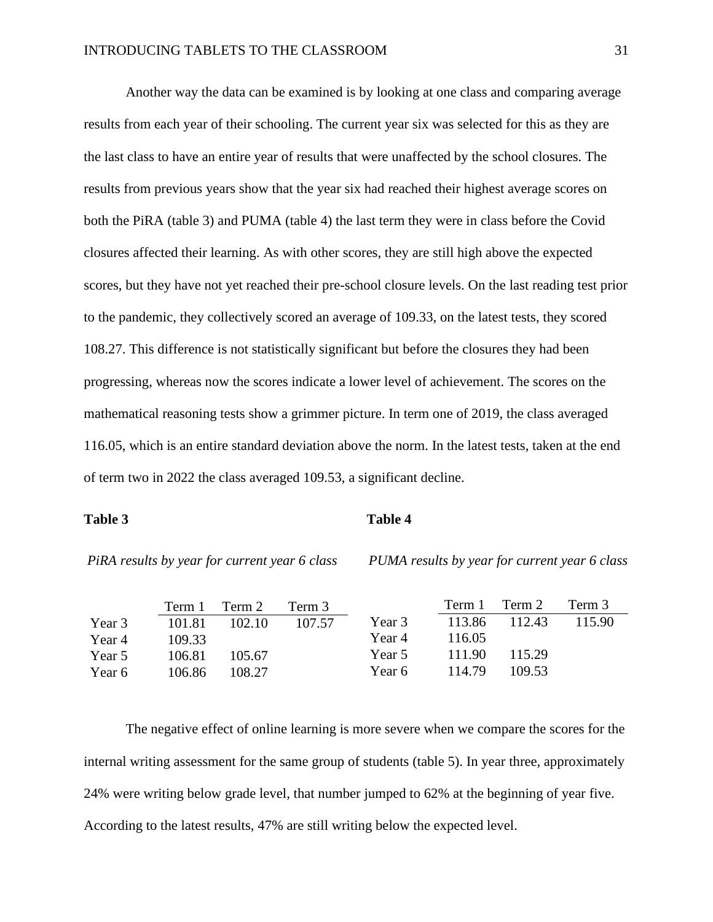Another way the data can be examined is by looking at one class and comparing average results from each year of their schooling. The current year six was selected for this as they are the last class to have an entire year of results that were unaffected by the school closures. The results from previous years show that the year six had reached their highest average scores on both the PiRA (table 3) and PUMA (table 4) the last term they were in class before the Covid closures affected their learning. As with other scores, they are still high above the expected scores, but they have not yet reached their pre-school closure levels. On the last reading test prior to the pandemic, they collectively scored an average of 109.33, on the latest tests, they scored 108.27. This difference is not statistically significant but before the closures they had been progressing, whereas now the scores indicate a lower level of achievement. The scores on the mathematical reasoning tests show a grimmer picture. In term one of 2019, the class averaged 116.05, which is an entire standard deviation above the norm. In the latest tests, taken at the end of term two in 2022 the class averaged 109.53, a significant decline.

#### Table 3 Table 4

*PiRA results by year for current year 6 class PUMA results by year for current year 6 class*

|        | Term 1 | Term 2 | Term 3 |        | Term 1 | Term 2 | Term 3 |
|--------|--------|--------|--------|--------|--------|--------|--------|
| Year 3 | 101.81 | 102.10 | 107.57 | Year 3 | 113.86 | 112.43 | 115.90 |
| Year 4 | 109.33 |        |        | Year 4 | 116.05 |        |        |
| Year 5 | 106.81 | 105.67 |        | Year 5 | 111.90 | 115.29 |        |
| Year 6 | 106.86 | 108.27 |        | Year 6 | 114.79 | 109.53 |        |

The negative effect of online learning is more severe when we compare the scores for the internal writing assessment for the same group of students (table 5). In year three, approximately 24% were writing below grade level, that number jumped to 62% at the beginning of year five. According to the latest results, 47% are still writing below the expected level.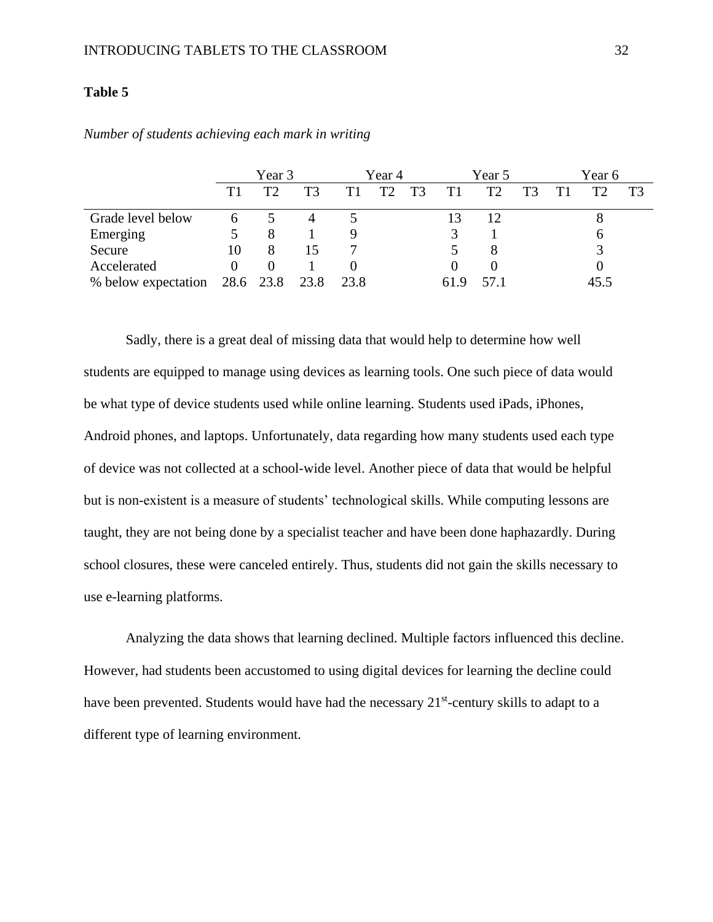### **Table 5**

|                                    | Year 3 |    |    | Year 4 |    |    |      | Year 5 |    | Year 6 |      |    |
|------------------------------------|--------|----|----|--------|----|----|------|--------|----|--------|------|----|
|                                    |        | Т? | T3 | Τ1     | T2 | T3 | T1   | T2     | T3 |        | T2   | T3 |
| Grade level below                  |        |    |    |        |    |    |      | 12     |    |        | Õ    |    |
| Emerging                           |        | 8  |    |        |    |    |      |        |    |        |      |    |
| Secure                             | 10     | 8  | 15 |        |    |    |      |        |    |        |      |    |
| Accelerated                        |        |    |    |        |    |    |      |        |    |        |      |    |
| % below expectation 28.6 23.8 23.8 |        |    |    | 23.8   |    |    | 61.9 | 57.1   |    |        | 45.5 |    |

*Number of students achieving each mark in writing*

Sadly, there is a great deal of missing data that would help to determine how well students are equipped to manage using devices as learning tools. One such piece of data would be what type of device students used while online learning. Students used iPads, iPhones, Android phones, and laptops. Unfortunately, data regarding how many students used each type of device was not collected at a school-wide level. Another piece of data that would be helpful but is non-existent is a measure of students' technological skills. While computing lessons are taught, they are not being done by a specialist teacher and have been done haphazardly. During school closures, these were canceled entirely. Thus, students did not gain the skills necessary to use e-learning platforms.

<span id="page-32-0"></span>Analyzing the data shows that learning declined. Multiple factors influenced this decline. However, had students been accustomed to using digital devices for learning the decline could have been prevented. Students would have had the necessary 21<sup>st</sup>-century skills to adapt to a different type of learning environment.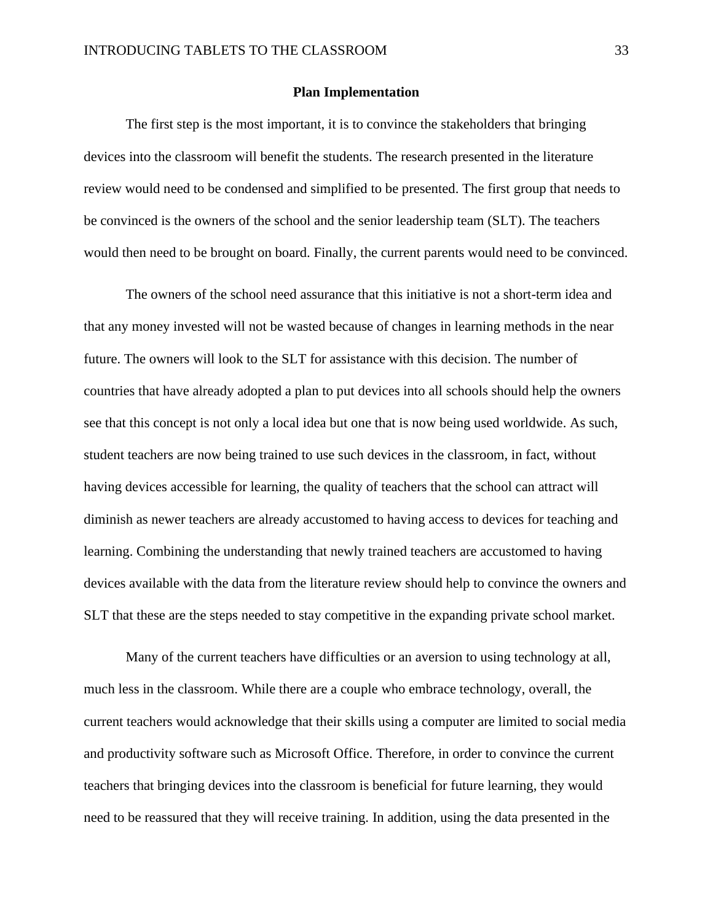#### **Plan Implementation**

The first step is the most important, it is to convince the stakeholders that bringing devices into the classroom will benefit the students. The research presented in the literature review would need to be condensed and simplified to be presented. The first group that needs to be convinced is the owners of the school and the senior leadership team (SLT). The teachers would then need to be brought on board. Finally, the current parents would need to be convinced.

The owners of the school need assurance that this initiative is not a short-term idea and that any money invested will not be wasted because of changes in learning methods in the near future. The owners will look to the SLT for assistance with this decision. The number of countries that have already adopted a plan to put devices into all schools should help the owners see that this concept is not only a local idea but one that is now being used worldwide. As such, student teachers are now being trained to use such devices in the classroom, in fact, without having devices accessible for learning, the quality of teachers that the school can attract will diminish as newer teachers are already accustomed to having access to devices for teaching and learning. Combining the understanding that newly trained teachers are accustomed to having devices available with the data from the literature review should help to convince the owners and SLT that these are the steps needed to stay competitive in the expanding private school market.

Many of the current teachers have difficulties or an aversion to using technology at all, much less in the classroom. While there are a couple who embrace technology, overall, the current teachers would acknowledge that their skills using a computer are limited to social media and productivity software such as Microsoft Office. Therefore, in order to convince the current teachers that bringing devices into the classroom is beneficial for future learning, they would need to be reassured that they will receive training. In addition, using the data presented in the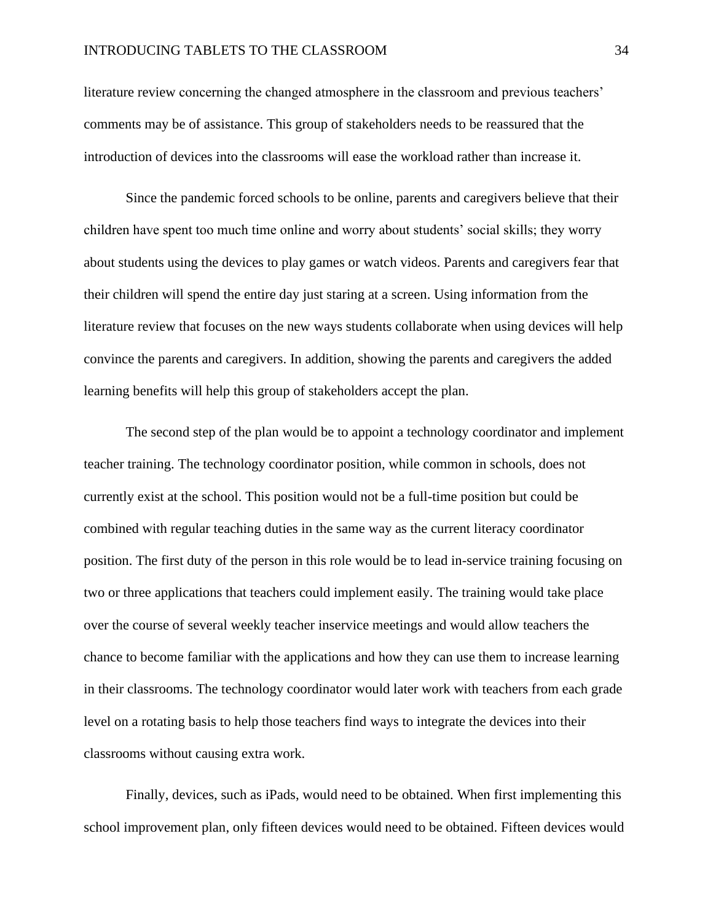literature review concerning the changed atmosphere in the classroom and previous teachers' comments may be of assistance. This group of stakeholders needs to be reassured that the introduction of devices into the classrooms will ease the workload rather than increase it.

Since the pandemic forced schools to be online, parents and caregivers believe that their children have spent too much time online and worry about students' social skills; they worry about students using the devices to play games or watch videos. Parents and caregivers fear that their children will spend the entire day just staring at a screen. Using information from the literature review that focuses on the new ways students collaborate when using devices will help convince the parents and caregivers. In addition, showing the parents and caregivers the added learning benefits will help this group of stakeholders accept the plan.

The second step of the plan would be to appoint a technology coordinator and implement teacher training. The technology coordinator position, while common in schools, does not currently exist at the school. This position would not be a full-time position but could be combined with regular teaching duties in the same way as the current literacy coordinator position. The first duty of the person in this role would be to lead in-service training focusing on two or three applications that teachers could implement easily. The training would take place over the course of several weekly teacher inservice meetings and would allow teachers the chance to become familiar with the applications and how they can use them to increase learning in their classrooms. The technology coordinator would later work with teachers from each grade level on a rotating basis to help those teachers find ways to integrate the devices into their classrooms without causing extra work.

Finally, devices, such as iPads, would need to be obtained. When first implementing this school improvement plan, only fifteen devices would need to be obtained. Fifteen devices would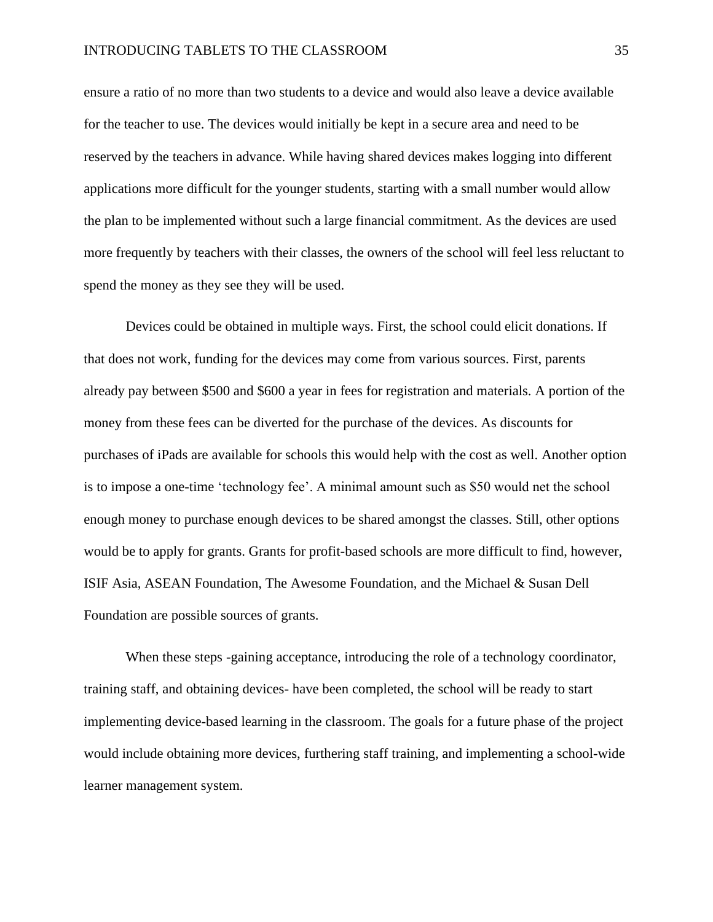#### INTRODUCING TABLETS TO THE CLASSROOM 35

ensure a ratio of no more than two students to a device and would also leave a device available for the teacher to use. The devices would initially be kept in a secure area and need to be reserved by the teachers in advance. While having shared devices makes logging into different applications more difficult for the younger students, starting with a small number would allow the plan to be implemented without such a large financial commitment. As the devices are used more frequently by teachers with their classes, the owners of the school will feel less reluctant to spend the money as they see they will be used.

Devices could be obtained in multiple ways. First, the school could elicit donations. If that does not work, funding for the devices may come from various sources. First, parents already pay between \$500 and \$600 a year in fees for registration and materials. A portion of the money from these fees can be diverted for the purchase of the devices. As discounts for purchases of iPads are available for schools this would help with the cost as well. Another option is to impose a one-time 'technology fee'. A minimal amount such as \$50 would net the school enough money to purchase enough devices to be shared amongst the classes. Still, other options would be to apply for grants. Grants for profit-based schools are more difficult to find, however, ISIF Asia, ASEAN Foundation, The Awesome Foundation, and the Michael & Susan Dell Foundation are possible sources of grants.

When these steps -gaining acceptance, introducing the role of a technology coordinator, training staff, and obtaining devices- have been completed, the school will be ready to start implementing device-based learning in the classroom. The goals for a future phase of the project would include obtaining more devices, furthering staff training, and implementing a school-wide learner management system.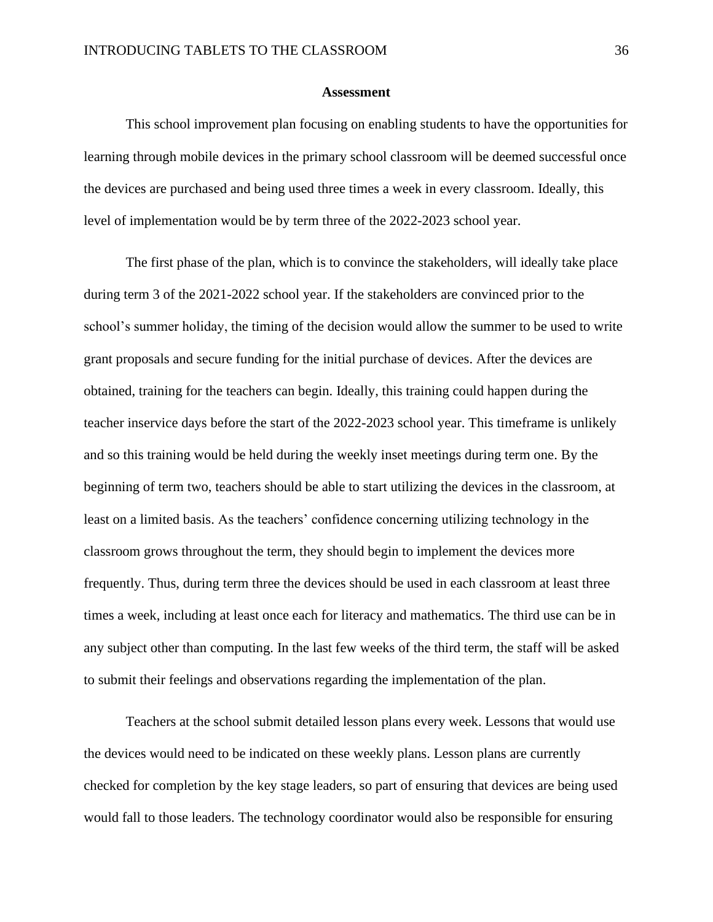#### **Assessment**

<span id="page-36-0"></span>This school improvement plan focusing on enabling students to have the opportunities for learning through mobile devices in the primary school classroom will be deemed successful once the devices are purchased and being used three times a week in every classroom. Ideally, this level of implementation would be by term three of the 2022-2023 school year.

The first phase of the plan, which is to convince the stakeholders, will ideally take place during term 3 of the 2021-2022 school year. If the stakeholders are convinced prior to the school's summer holiday, the timing of the decision would allow the summer to be used to write grant proposals and secure funding for the initial purchase of devices. After the devices are obtained, training for the teachers can begin. Ideally, this training could happen during the teacher inservice days before the start of the 2022-2023 school year. This timeframe is unlikely and so this training would be held during the weekly inset meetings during term one. By the beginning of term two, teachers should be able to start utilizing the devices in the classroom, at least on a limited basis. As the teachers' confidence concerning utilizing technology in the classroom grows throughout the term, they should begin to implement the devices more frequently. Thus, during term three the devices should be used in each classroom at least three times a week, including at least once each for literacy and mathematics. The third use can be in any subject other than computing. In the last few weeks of the third term, the staff will be asked to submit their feelings and observations regarding the implementation of the plan.

Teachers at the school submit detailed lesson plans every week. Lessons that would use the devices would need to be indicated on these weekly plans. Lesson plans are currently checked for completion by the key stage leaders, so part of ensuring that devices are being used would fall to those leaders. The technology coordinator would also be responsible for ensuring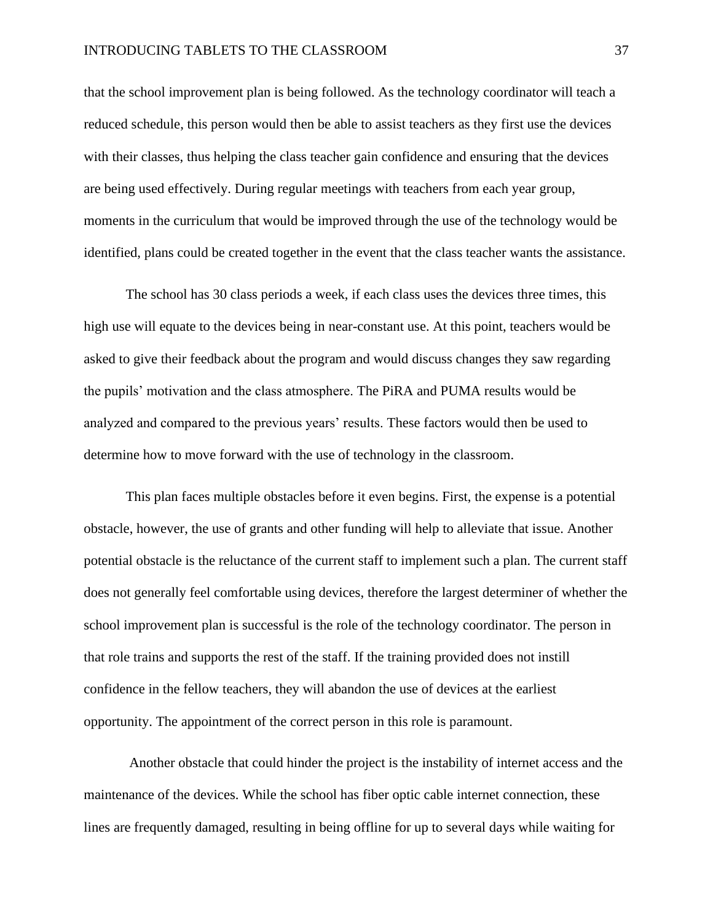that the school improvement plan is being followed. As the technology coordinator will teach a reduced schedule, this person would then be able to assist teachers as they first use the devices with their classes, thus helping the class teacher gain confidence and ensuring that the devices are being used effectively. During regular meetings with teachers from each year group, moments in the curriculum that would be improved through the use of the technology would be identified, plans could be created together in the event that the class teacher wants the assistance.

The school has 30 class periods a week, if each class uses the devices three times, this high use will equate to the devices being in near-constant use. At this point, teachers would be asked to give their feedback about the program and would discuss changes they saw regarding the pupils' motivation and the class atmosphere. The PiRA and PUMA results would be analyzed and compared to the previous years' results. These factors would then be used to determine how to move forward with the use of technology in the classroom.

This plan faces multiple obstacles before it even begins. First, the expense is a potential obstacle, however, the use of grants and other funding will help to alleviate that issue. Another potential obstacle is the reluctance of the current staff to implement such a plan. The current staff does not generally feel comfortable using devices, therefore the largest determiner of whether the school improvement plan is successful is the role of the technology coordinator. The person in that role trains and supports the rest of the staff. If the training provided does not instill confidence in the fellow teachers, they will abandon the use of devices at the earliest opportunity. The appointment of the correct person in this role is paramount.

Another obstacle that could hinder the project is the instability of internet access and the maintenance of the devices. While the school has fiber optic cable internet connection, these lines are frequently damaged, resulting in being offline for up to several days while waiting for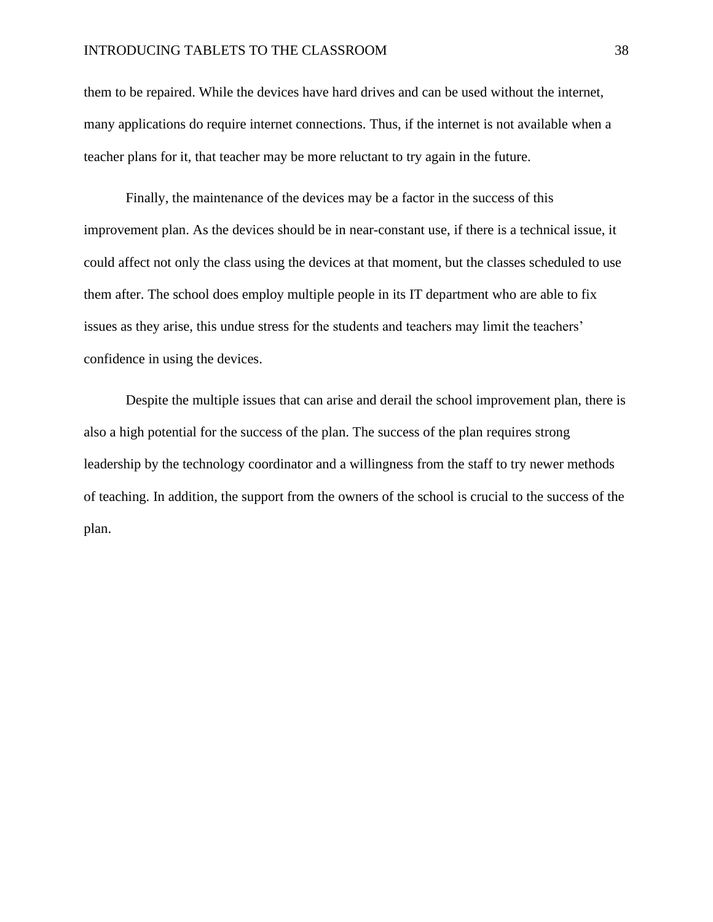#### INTRODUCING TABLETS TO THE CLASSROOM 38

them to be repaired. While the devices have hard drives and can be used without the internet, many applications do require internet connections. Thus, if the internet is not available when a teacher plans for it, that teacher may be more reluctant to try again in the future.

Finally, the maintenance of the devices may be a factor in the success of this improvement plan. As the devices should be in near-constant use, if there is a technical issue, it could affect not only the class using the devices at that moment, but the classes scheduled to use them after. The school does employ multiple people in its IT department who are able to fix issues as they arise, this undue stress for the students and teachers may limit the teachers' confidence in using the devices.

<span id="page-38-0"></span>Despite the multiple issues that can arise and derail the school improvement plan, there is also a high potential for the success of the plan. The success of the plan requires strong leadership by the technology coordinator and a willingness from the staff to try newer methods of teaching. In addition, the support from the owners of the school is crucial to the success of the plan.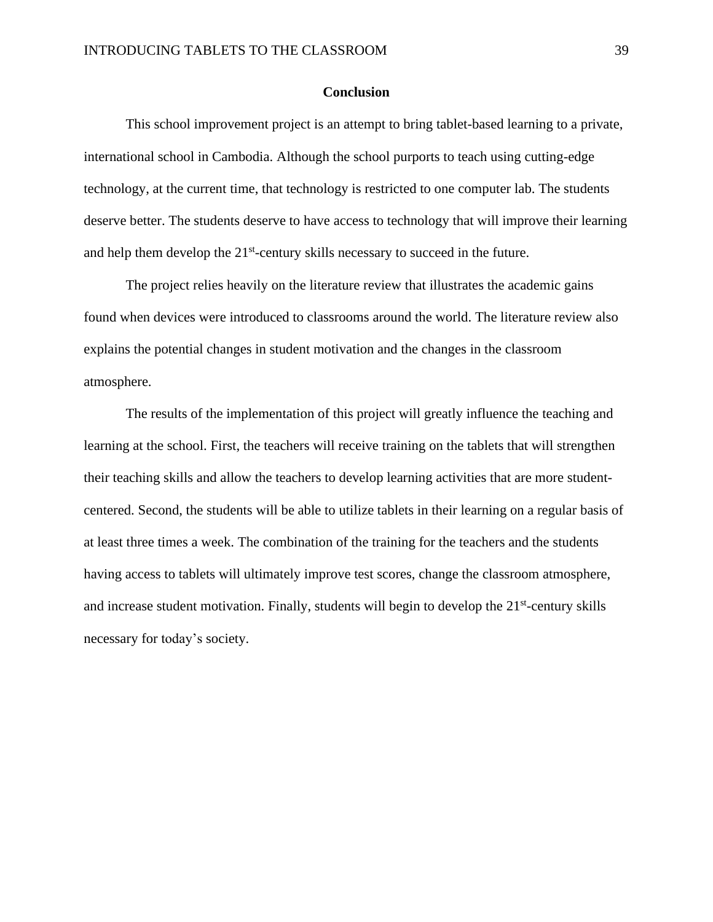#### **Conclusion**

This school improvement project is an attempt to bring tablet-based learning to a private, international school in Cambodia. Although the school purports to teach using cutting-edge technology, at the current time, that technology is restricted to one computer lab. The students deserve better. The students deserve to have access to technology that will improve their learning and help them develop the 21<sup>st</sup>-century skills necessary to succeed in the future.

The project relies heavily on the literature review that illustrates the academic gains found when devices were introduced to classrooms around the world. The literature review also explains the potential changes in student motivation and the changes in the classroom atmosphere.

<span id="page-39-0"></span>The results of the implementation of this project will greatly influence the teaching and learning at the school. First, the teachers will receive training on the tablets that will strengthen their teaching skills and allow the teachers to develop learning activities that are more studentcentered. Second, the students will be able to utilize tablets in their learning on a regular basis of at least three times a week. The combination of the training for the teachers and the students having access to tablets will ultimately improve test scores, change the classroom atmosphere, and increase student motivation. Finally, students will begin to develop the  $21<sup>st</sup>$ -century skills necessary for today's society.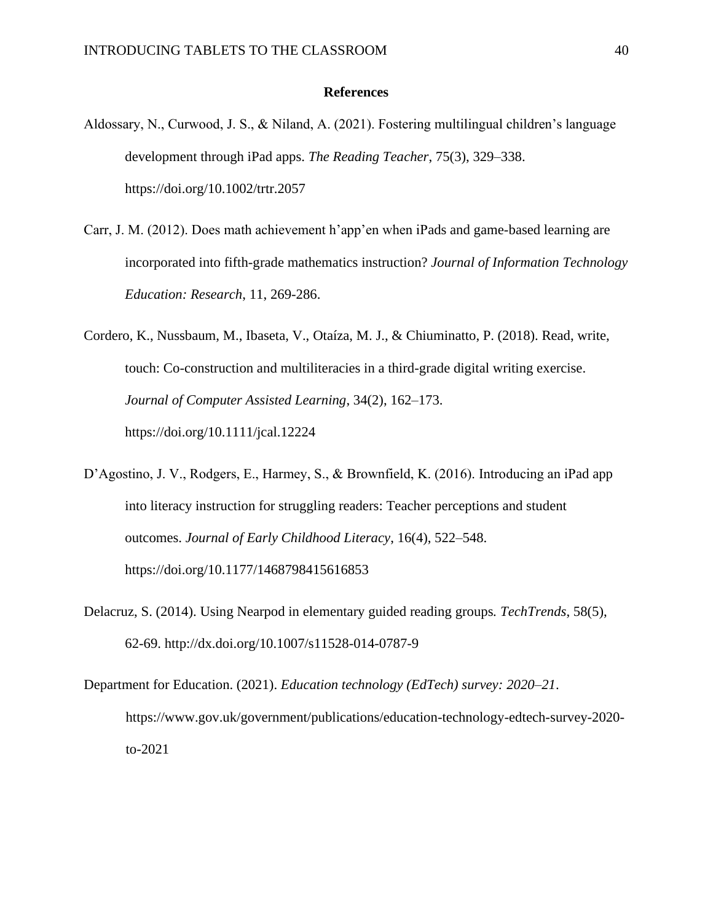#### **References**

- Aldossary, N., Curwood, J. S., & Niland, A. (2021). Fostering multilingual children's language development through iPad apps. *The Reading Teacher*, 75(3), 329–338. https://doi.org/10.1002/trtr.2057
- Carr, J. M. (2012). Does math achievement h'app'en when iPads and game-based learning are incorporated into fifth-grade mathematics instruction? *Journal of Information Technology Education: Research*, 11, 269-286.
- Cordero, K., Nussbaum, M., Ibaseta, V., Otaíza, M. J., & Chiuminatto, P. (2018). Read, write, touch: Co-construction and multiliteracies in a third-grade digital writing exercise. *Journal of Computer Assisted Learning*, 34(2), 162–173. https://doi.org/10.1111/jcal.12224
- D'Agostino, J. V., Rodgers, E., Harmey, S., & Brownfield, K. (2016). Introducing an iPad app into literacy instruction for struggling readers: Teacher perceptions and student outcomes. *Journal of Early Childhood Literacy*, 16(4), 522–548. https://doi.org/10.1177/1468798415616853
- Delacruz, S. (2014). Using Nearpod in elementary guided reading groups*. TechTrends*, 58(5), 62-69.<http://dx.doi.org/10.1007/s11528-014-0787-9>
- Department for Education. (2021). *Education technology (EdTech) survey: 2020–21*. https://www.gov.uk/government/publications/education-technology-edtech-survey-2020 to-2021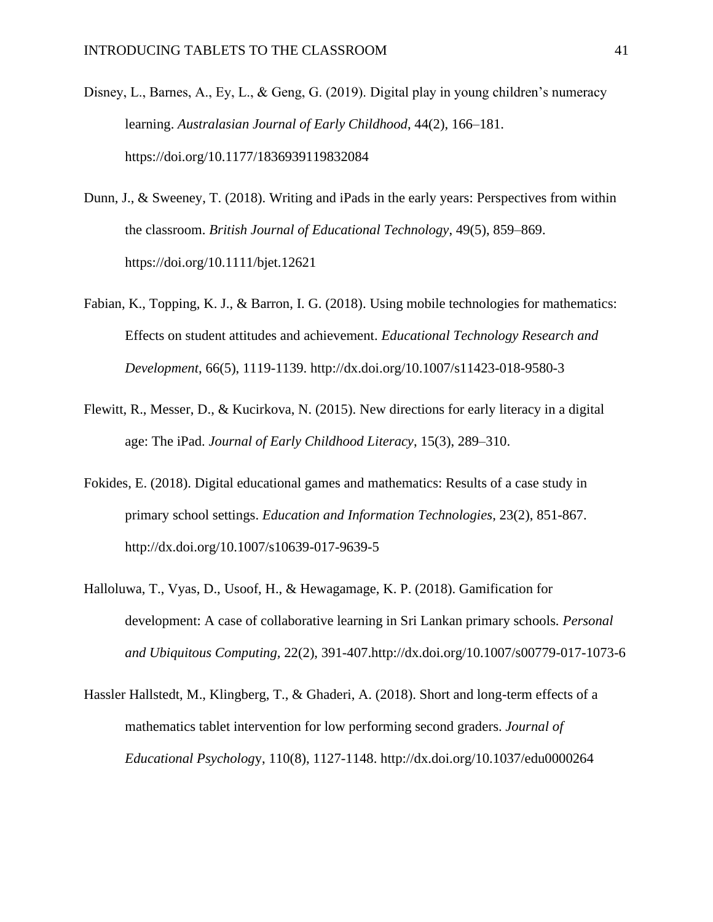- Disney, L., Barnes, A., Ey, L., & Geng, G. (2019). Digital play in young children's numeracy learning. *Australasian Journal of Early Childhood*, 44(2), 166–181. https://doi.org/10.1177/1836939119832084
- Dunn, J., & Sweeney, T. (2018). Writing and iPads in the early years: Perspectives from within the classroom. *British Journal of Educational Technology*, 49(5), 859–869. https://doi.org/10.1111/bjet.12621
- Fabian, K., Topping, K. J., & Barron, I. G. (2018). Using mobile technologies for mathematics: Effects on student attitudes and achievement. *Educational Technology Research and Development*, 66(5), 1119-1139. http://dx.doi.org/10.1007/s11423-018-9580-3
- Flewitt, R., Messer, D., & Kucirkova, N. (2015). New directions for early literacy in a digital age: The iPad. *Journal of Early Childhood Literacy*, 15(3), 289–310.
- Fokides, E. (2018). Digital educational games and mathematics: Results of a case study in primary school settings. *Education and Information Technologies*, 23(2), 851-867. http://dx.doi.org/10.1007/s10639-017-9639-5
- Halloluwa, T., Vyas, D., Usoof, H., & Hewagamage, K. P. (2018). Gamification for development: A case of collaborative learning in Sri Lankan primary schools*. Personal and Ubiquitous Computing,* 22(2), 391-407.http://dx.doi.org/10.1007/s00779-017-1073-6
- Hassler Hallstedt, M., Klingberg, T., & Ghaderi, A. (2018). Short and long-term effects of a mathematics tablet intervention for low performing second graders. *Journal of Educational Psycholog*y, 110(8), 1127-1148.<http://dx.doi.org/10.1037/edu0000264>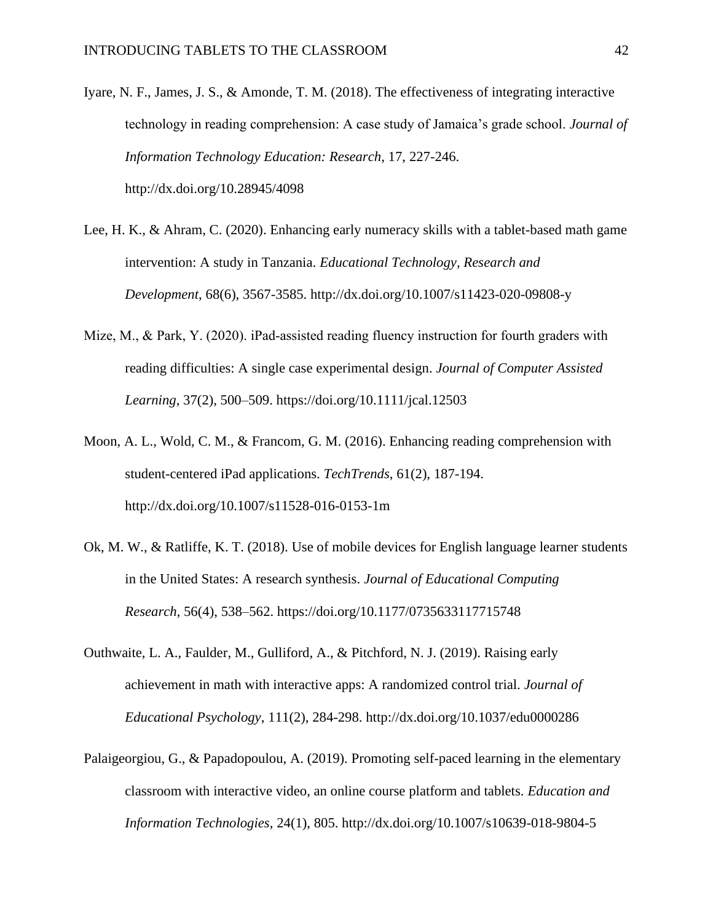- Iyare, N. F., James, J. S., & Amonde, T. M. (2018). The effectiveness of integrating interactive technology in reading comprehension: A case study of Jamaica's grade school. *Journal of Information Technology Education: Research*, 17, 227-246. http://dx.doi.org/10.28945/4098
- Lee, H. K., & Ahram, C. (2020). Enhancing early numeracy skills with a tablet-based math game intervention: A study in Tanzania. *Educational Technology, Research and Development*, 68(6), 3567-3585. http://dx.doi.org/10.1007/s11423-020-09808-y
- Mize, M., & Park, Y. (2020). iPad-assisted reading fluency instruction for fourth graders with reading difficulties: A single case experimental design. *Journal of Computer Assisted Learning,* 37(2), 500–509. https://doi.org/10.1111/jcal.12503
- Moon, A. L., Wold, C. M., & Francom, G. M. (2016). Enhancing reading comprehension with student-centered iPad applications. *TechTrends*, 61(2), 187-194. http://dx.doi.org/10.1007/s11528-016-0153-1m
- Ok, M. W., & Ratliffe, K. T. (2018). Use of mobile devices for English language learner students in the United States: A research synthesis. *Journal of Educational Computing Research*, 56(4), 538–562. https://doi.org/10.1177/0735633117715748
- Outhwaite, L. A., Faulder, M., Gulliford, A., & Pitchford, N. J. (2019). Raising early achievement in math with interactive apps: A randomized control trial. *Journal of Educational Psychology*, 111(2), 284-298. http://dx.doi.org/10.1037/edu0000286
- Palaigeorgiou, G., & Papadopoulou, A. (2019). Promoting self-paced learning in the elementary classroom with interactive video, an online course platform and tablets. *Education and Information Technologies*, 24(1), 805. http://dx.doi.org/10.1007/s10639-018-9804-5